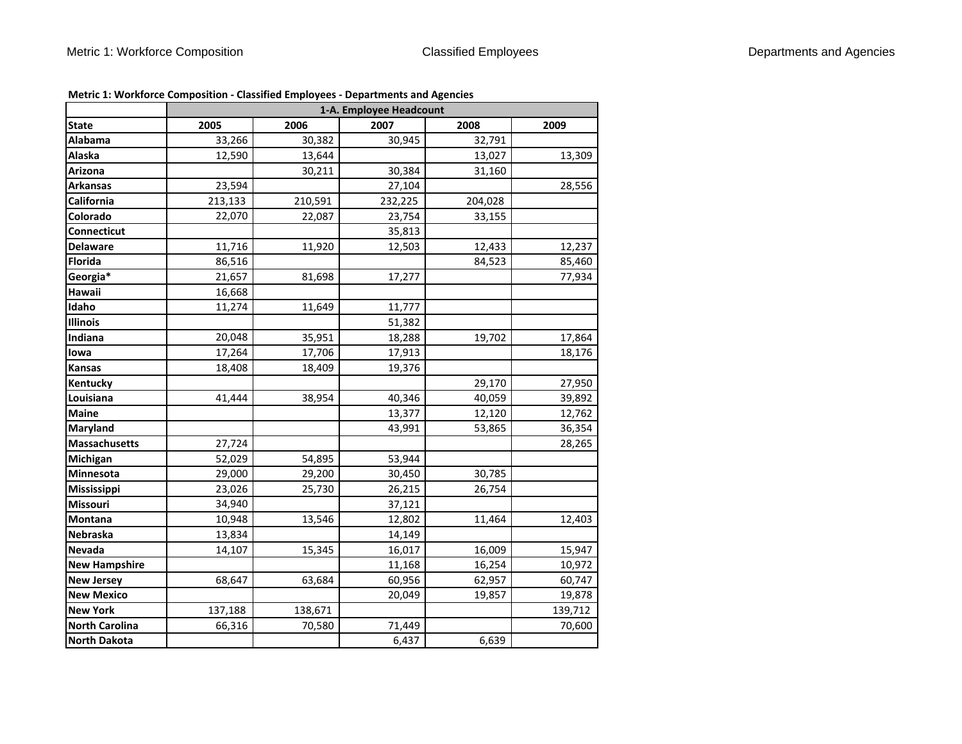|                       |         | 1-A. Employee Headcount |         |         |         |  |  |
|-----------------------|---------|-------------------------|---------|---------|---------|--|--|
| <b>State</b>          | 2005    | 2006                    | 2007    | 2008    | 2009    |  |  |
| Alabama               | 33,266  | 30,382                  | 30,945  | 32,791  |         |  |  |
| Alaska                | 12,590  | 13,644                  |         | 13,027  | 13,309  |  |  |
| Arizona               |         | 30,211                  | 30,384  | 31,160  |         |  |  |
| <b>Arkansas</b>       | 23,594  |                         | 27,104  |         | 28,556  |  |  |
| California            | 213,133 | 210,591                 | 232,225 | 204,028 |         |  |  |
| Colorado              | 22,070  | 22,087                  | 23,754  | 33,155  |         |  |  |
| Connecticut           |         |                         | 35,813  |         |         |  |  |
| <b>Delaware</b>       | 11,716  | 11,920                  | 12,503  | 12,433  | 12,237  |  |  |
| <b>Florida</b>        | 86,516  |                         |         | 84,523  | 85,460  |  |  |
| Georgia*              | 21,657  | 81,698                  | 17,277  |         | 77,934  |  |  |
| Hawaii                | 16,668  |                         |         |         |         |  |  |
| Idaho                 | 11,274  | 11,649                  | 11,777  |         |         |  |  |
| <b>Illinois</b>       |         |                         | 51,382  |         |         |  |  |
| Indiana               | 20,048  | 35,951                  | 18,288  | 19,702  | 17,864  |  |  |
| lowa                  | 17,264  | 17,706                  | 17,913  |         | 18,176  |  |  |
| <b>Kansas</b>         | 18,408  | 18,409                  | 19,376  |         |         |  |  |
| Kentucky              |         |                         |         | 29,170  | 27,950  |  |  |
| Louisiana             | 41,444  | 38,954                  | 40,346  | 40,059  | 39,892  |  |  |
| <b>Maine</b>          |         |                         | 13,377  | 12,120  | 12,762  |  |  |
| Maryland              |         |                         | 43,991  | 53,865  | 36,354  |  |  |
| <b>Massachusetts</b>  | 27,724  |                         |         |         | 28,265  |  |  |
| Michigan              | 52,029  | 54,895                  | 53,944  |         |         |  |  |
| Minnesota             | 29,000  | 29,200                  | 30,450  | 30,785  |         |  |  |
| Mississippi           | 23,026  | 25,730                  | 26,215  | 26,754  |         |  |  |
| Missouri              | 34,940  |                         | 37,121  |         |         |  |  |
| Montana               | 10,948  | 13,546                  | 12,802  | 11,464  | 12,403  |  |  |
| <b>Nebraska</b>       | 13,834  |                         | 14,149  |         |         |  |  |
| <b>Nevada</b>         | 14,107  | 15,345                  | 16,017  | 16,009  | 15,947  |  |  |
| <b>New Hampshire</b>  |         |                         | 11,168  | 16,254  | 10,972  |  |  |
| <b>New Jersey</b>     | 68,647  | 63,684                  | 60,956  | 62,957  | 60,747  |  |  |
| <b>New Mexico</b>     |         |                         | 20,049  | 19,857  | 19,878  |  |  |
| <b>New York</b>       | 137,188 | 138,671                 |         |         | 139,712 |  |  |
| <b>North Carolina</b> | 66,316  | 70,580                  | 71,449  |         | 70,600  |  |  |
| <b>North Dakota</b>   |         |                         | 6,437   | 6,639   |         |  |  |

**Metric 1: Workforce Composition ‐ Classified Employees ‐ Departments and Agencies**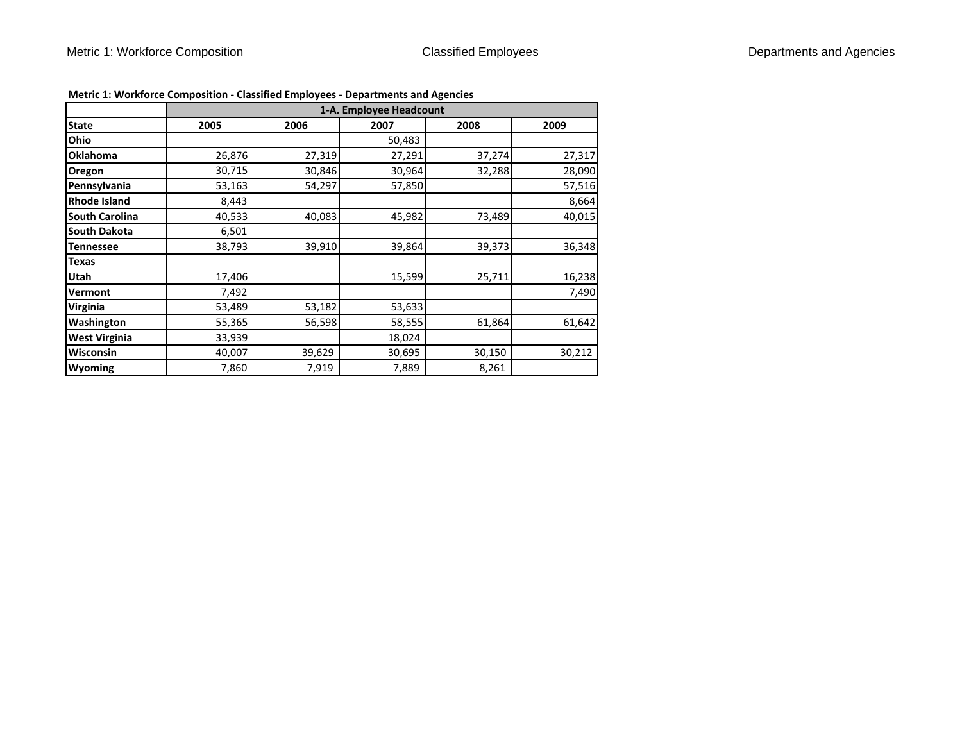|                       | 1-A. Employee Headcount |        |        |        |        |  |
|-----------------------|-------------------------|--------|--------|--------|--------|--|
| <b>State</b>          | 2005                    | 2006   | 2007   | 2008   | 2009   |  |
| Ohio                  |                         |        | 50,483 |        |        |  |
| <b>Oklahoma</b>       | 26,876                  | 27,319 | 27,291 | 37,274 | 27,317 |  |
| Oregon                | 30,715                  | 30,846 | 30,964 | 32,288 | 28,090 |  |
| Pennsylvania          | 53,163                  | 54,297 | 57,850 |        | 57,516 |  |
| <b>Rhode Island</b>   | 8,443                   |        |        |        | 8,664  |  |
| <b>South Carolina</b> | 40,533                  | 40,083 | 45,982 | 73,489 | 40,015 |  |
| South Dakota          | 6,501                   |        |        |        |        |  |
| <b>Tennessee</b>      | 38,793                  | 39,910 | 39,864 | 39,373 | 36,348 |  |
| <b>Texas</b>          |                         |        |        |        |        |  |
| <b>Utah</b>           | 17,406                  |        | 15,599 | 25,711 | 16,238 |  |
| <b>Vermont</b>        | 7,492                   |        |        |        | 7,490  |  |
| <b>Virginia</b>       | 53,489                  | 53,182 | 53,633 |        |        |  |
| Washington            | 55,365                  | 56,598 | 58,555 | 61,864 | 61,642 |  |
| <b>West Virginia</b>  | 33,939                  |        | 18,024 |        |        |  |
| Wisconsin             | 40,007                  | 39,629 | 30,695 | 30,150 | 30,212 |  |
| <b>Wyoming</b>        | 7,860                   | 7,919  | 7,889  | 8,261  |        |  |

**Metric 1: Workforce Composition ‐ Classified Employees ‐ Departments and Agencies**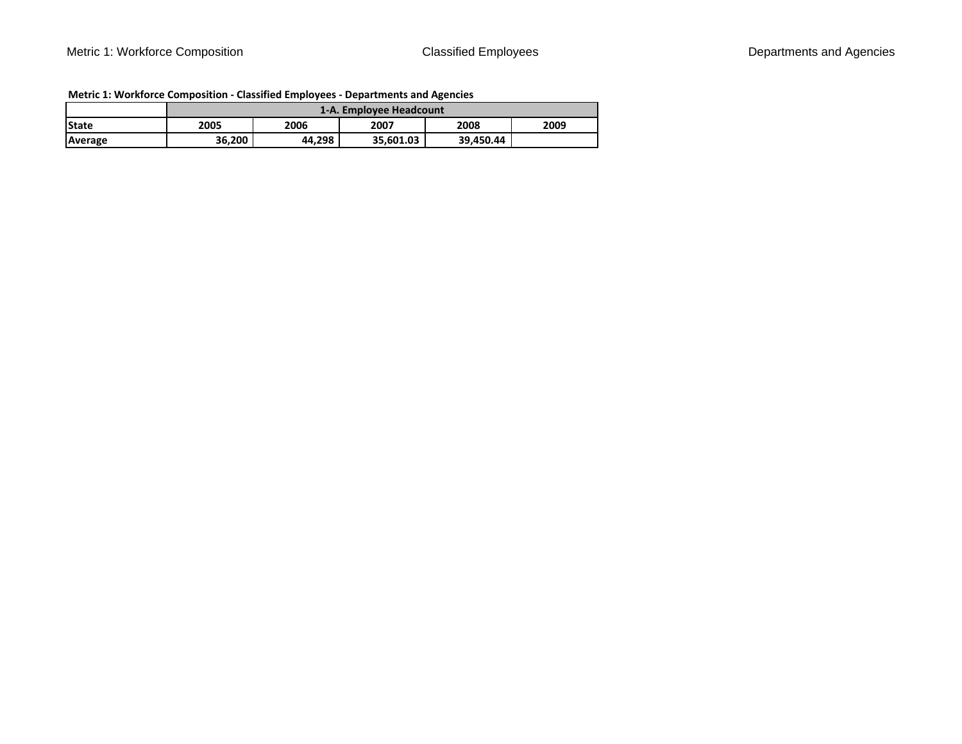|              | 1-A. Emplovee Headcount |        |           |           |      |
|--------------|-------------------------|--------|-----------|-----------|------|
| <b>State</b> | 2005                    | 2006   | 2007      | 2008      | 2009 |
| Average      | 36.200                  | 44.298 | 35.601.03 | 39.450.44 |      |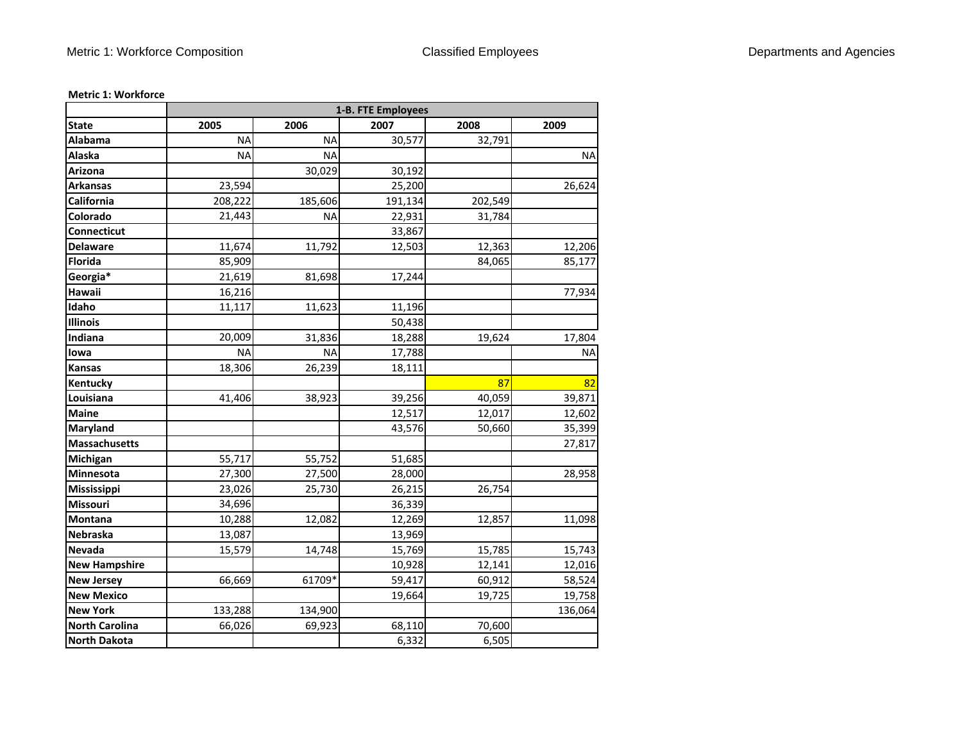|                       | 1-B. FTE Employees |           |         |         |           |
|-----------------------|--------------------|-----------|---------|---------|-----------|
| <b>State</b>          | 2005               | 2006      | 2007    | 2008    | 2009      |
| <b>Alabama</b>        | <b>NA</b>          | <b>NA</b> | 30,577  | 32,791  |           |
| Alaska                | <b>NA</b>          | <b>NA</b> |         |         | <b>NA</b> |
| Arizona               |                    | 30,029    | 30,192  |         |           |
| <b>Arkansas</b>       | 23,594             |           | 25,200  |         | 26,624    |
| California            | 208,222            | 185,606   | 191,134 | 202,549 |           |
| Colorado              | 21,443             | <b>NA</b> | 22,931  | 31,784  |           |
| Connecticut           |                    |           | 33,867  |         |           |
| <b>Delaware</b>       | 11,674             | 11,792    | 12,503  | 12,363  | 12,206    |
| <b>Florida</b>        | 85,909             |           |         | 84,065  | 85,177    |
| Georgia*              | 21,619             | 81,698    | 17,244  |         |           |
| Hawaii                | 16,216             |           |         |         | 77,934    |
| Idaho                 | 11,117             | 11,623    | 11,196  |         |           |
| <b>Illinois</b>       |                    |           | 50,438  |         |           |
| Indiana               | 20,009             | 31,836    | 18,288  | 19,624  | 17,804    |
| lowa                  | <b>NA</b>          | <b>NA</b> | 17,788  |         | <b>NA</b> |
| <b>Kansas</b>         | 18,306             | 26,239    | 18,111  |         |           |
| Kentucky              |                    |           |         | 87      | 82        |
| Louisiana             | 41,406             | 38,923    | 39,256  | 40,059  | 39,871    |
| <b>Maine</b>          |                    |           | 12,517  | 12,017  | 12,602    |
| Maryland              |                    |           | 43,576  | 50,660  | 35,399    |
| Massachusetts         |                    |           |         |         | 27,817    |
| Michigan              | 55,717             | 55,752    | 51,685  |         |           |
| Minnesota             | 27,300             | 27,500    | 28,000  |         | 28,958    |
| Mississippi           | 23,026             | 25,730    | 26,215  | 26,754  |           |
| Missouri              | 34,696             |           | 36,339  |         |           |
| <b>Montana</b>        | 10,288             | 12,082    | 12,269  | 12,857  | 11,098    |
| Nebraska              | 13,087             |           | 13,969  |         |           |
| Nevada                | 15,579             | 14,748    | 15,769  | 15,785  | 15,743    |
| <b>New Hampshire</b>  |                    |           | 10,928  | 12,141  | 12,016    |
| <b>New Jersey</b>     | 66,669             | 61709*    | 59,417  | 60,912  | 58,524    |
| <b>New Mexico</b>     |                    |           | 19,664  | 19,725  | 19,758    |
| <b>New York</b>       | 133,288            | 134,900   |         |         | 136,064   |
| <b>North Carolina</b> | 66,026             | 69,923    | 68,110  | 70,600  |           |
| <b>North Dakota</b>   |                    |           | 6,332   | 6,505   |           |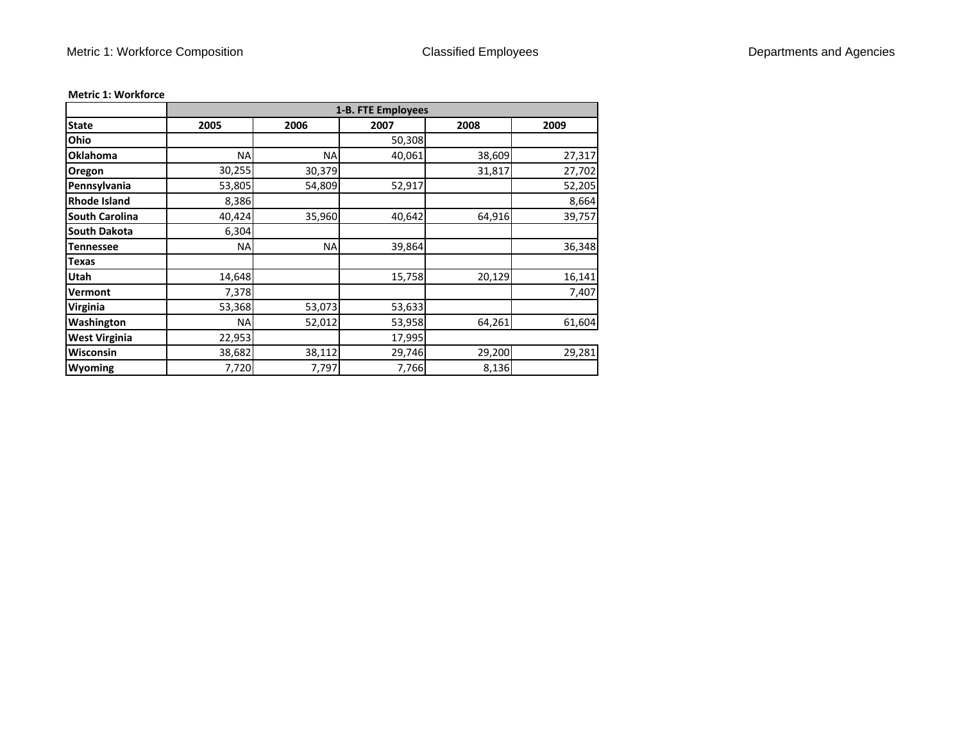|                       | 1-B. FTE Employees |        |        |        |        |  |
|-----------------------|--------------------|--------|--------|--------|--------|--|
| <b>State</b>          | 2005               | 2006   | 2007   | 2008   | 2009   |  |
| Ohio                  |                    |        | 50,308 |        |        |  |
| <b>Oklahoma</b>       | <b>NA</b>          | NA     | 40,061 | 38,609 | 27,317 |  |
| <b>Oregon</b>         | 30,255             | 30,379 |        | 31,817 | 27,702 |  |
| Pennsylvania          | 53,805             | 54,809 | 52,917 |        | 52,205 |  |
| <b>Rhode Island</b>   | 8,386              |        |        |        | 8,664  |  |
| <b>South Carolina</b> | 40,424             | 35,960 | 40,642 | 64,916 | 39,757 |  |
| <b>South Dakota</b>   | 6,304              |        |        |        |        |  |
| <b>Tennessee</b>      | <b>NA</b>          | NA     | 39,864 |        | 36,348 |  |
| <b>Texas</b>          |                    |        |        |        |        |  |
| <b>Utah</b>           | 14,648             |        | 15,758 | 20,129 | 16,141 |  |
| <b>Vermont</b>        | 7,378              |        |        |        | 7,407  |  |
| <b>Virginia</b>       | 53,368             | 53,073 | 53,633 |        |        |  |
| Washington            | <b>NA</b>          | 52,012 | 53,958 | 64,261 | 61,604 |  |
| <b>West Virginia</b>  | 22,953             |        | 17,995 |        |        |  |
| Wisconsin             | 38,682             | 38,112 | 29,746 | 29,200 | 29,281 |  |
| <b>Wyoming</b>        | 7,720              | 7,797  | 7,766  | 8,136  |        |  |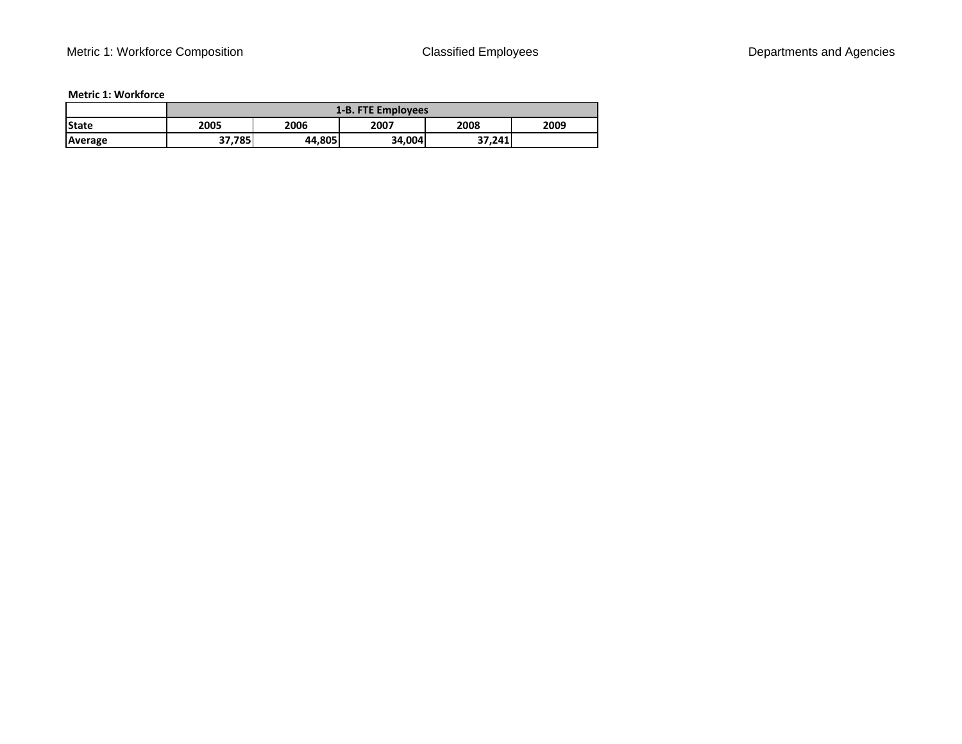|              | 1-B. FTE Employees |        |        |        |      |
|--------------|--------------------|--------|--------|--------|------|
| <b>State</b> | 2005               | 2006   | 2007   | 2008   | 2009 |
| Average      | 5785، ،<br>っっ      | 44,805 | 34,004 | 37,241 |      |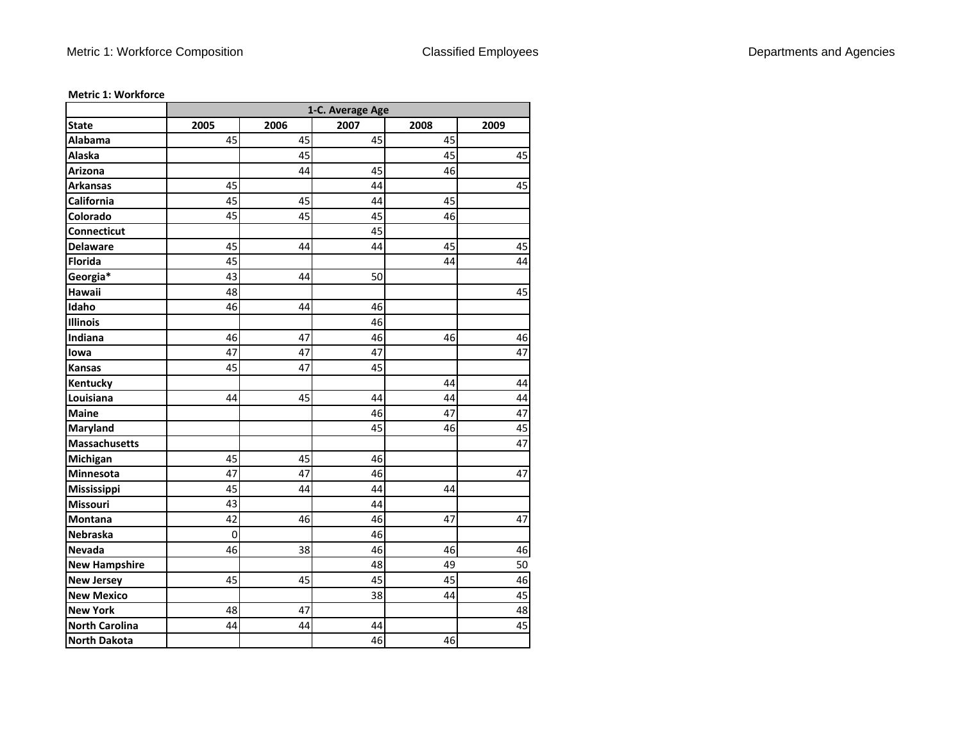|                       | 1-C. Average Age |      |      |      |      |
|-----------------------|------------------|------|------|------|------|
| <b>State</b>          | 2005             | 2006 | 2007 | 2008 | 2009 |
| Alabama               | 45               | 45   | 45   | 45   |      |
| Alaska                |                  | 45   |      | 45   | 45   |
| Arizona               |                  | 44   | 45   | 46   |      |
| <b>Arkansas</b>       | 45               |      | 44   |      | 45   |
| California            | 45               | 45   | 44   | 45   |      |
| Colorado              | 45               | 45   | 45   | 46   |      |
| Connecticut           |                  |      | 45   |      |      |
| <b>Delaware</b>       | 45               | 44   | 44   | 45   | 45   |
| <b>Florida</b>        | 45               |      |      | 44   | 44   |
| Georgia*              | 43               | 44   | 50   |      |      |
| Hawaii                | 48               |      |      |      | 45   |
| Idaho                 | 46               | 44   | 46   |      |      |
| <b>Illinois</b>       |                  |      | 46   |      |      |
| Indiana               | 46               | 47   | 46   | 46   | 46   |
| lowa                  | 47               | 47   | 47   |      | 47   |
| <b>Kansas</b>         | 45               | 47   | 45   |      |      |
| Kentucky              |                  |      |      | 44   | 44   |
| Louisiana             | 44               | 45   | 44   | 44   | 44   |
| <b>Maine</b>          |                  |      | 46   | 47   | 47   |
| Maryland              |                  |      | 45   | 46   | 45   |
| <b>Massachusetts</b>  |                  |      |      |      | 47   |
| Michigan              | 45               | 45   | 46   |      |      |
| Minnesota             | 47               | 47   | 46   |      | 47   |
| Mississippi           | 45               | 44   | 44   | 44   |      |
| <b>Missouri</b>       | 43               |      | 44   |      |      |
| Montana               | 42               | 46   | 46   | 47   | 47   |
| Nebraska              | $\mathbf 0$      |      | 46   |      |      |
| <b>Nevada</b>         | 46               | 38   | 46   | 46   | 46   |
| <b>New Hampshire</b>  |                  |      | 48   | 49   | 50   |
| <b>New Jersey</b>     | 45               | 45   | 45   | 45   | 46   |
| <b>New Mexico</b>     |                  |      | 38   | 44   | 45   |
| <b>New York</b>       | 48               | 47   |      |      | 48   |
| <b>North Carolina</b> | 44               | 44   | 44   |      | 45   |
| <b>North Dakota</b>   |                  |      | 46   | 46   |      |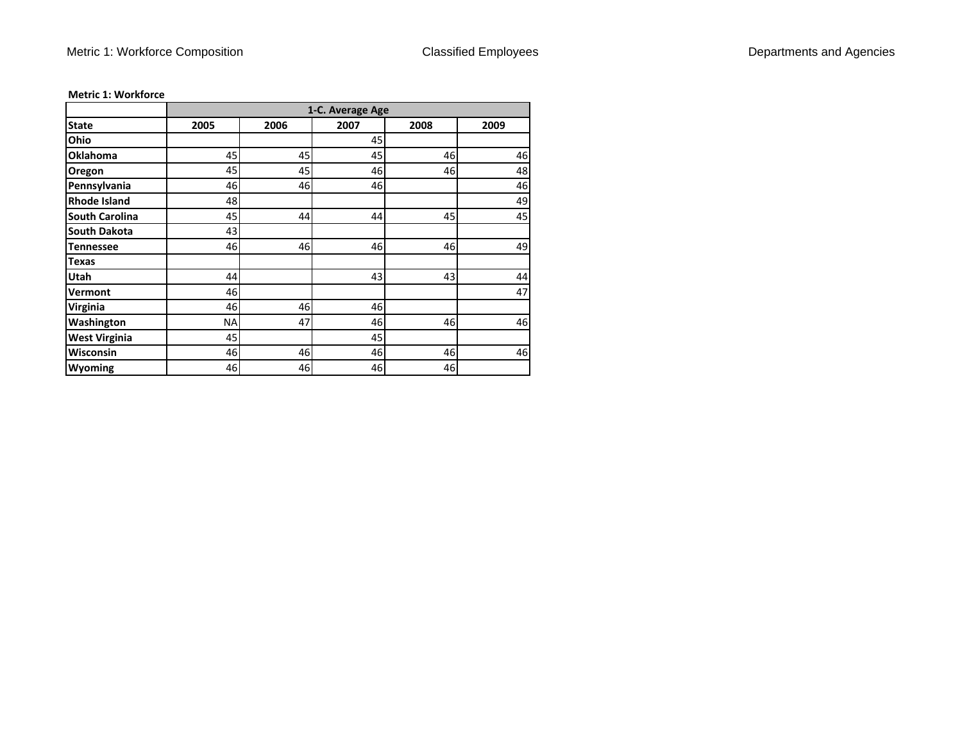|                       | 1-C. Average Age |      |      |      |      |  |
|-----------------------|------------------|------|------|------|------|--|
| <b>State</b>          | 2005             | 2006 | 2007 | 2008 | 2009 |  |
| Ohio                  |                  |      | 45   |      |      |  |
| <b>Oklahoma</b>       | 45               | 45   | 45   | 46   | 46   |  |
| Oregon                | 45               | 45   | 46   | 46   | 48   |  |
| Pennsylvania          | 46               | 46   | 46   |      | 46   |  |
| <b>Rhode Island</b>   | 48               |      |      |      | 49   |  |
| <b>South Carolina</b> | 45               | 44   | 44   | 45   | 45   |  |
| <b>South Dakota</b>   | 43               |      |      |      |      |  |
| <b>Tennessee</b>      | 46               | 46   | 46   | 46   | 49   |  |
| <b>Texas</b>          |                  |      |      |      |      |  |
| Utah                  | 44               |      | 43   | 43   | 44   |  |
| Vermont               | 46               |      |      |      | 47   |  |
| Virginia              | 46               | 46   | 46   |      |      |  |
| Washington            | NA               | 47   | 46   | 46   | 46   |  |
| <b>West Virginia</b>  | 45               |      | 45   |      |      |  |
| <b>Wisconsin</b>      | 46               | 46   | 46   | 46   | 46   |  |
| Wyoming               | 46               | 46   | 46   | 46   |      |  |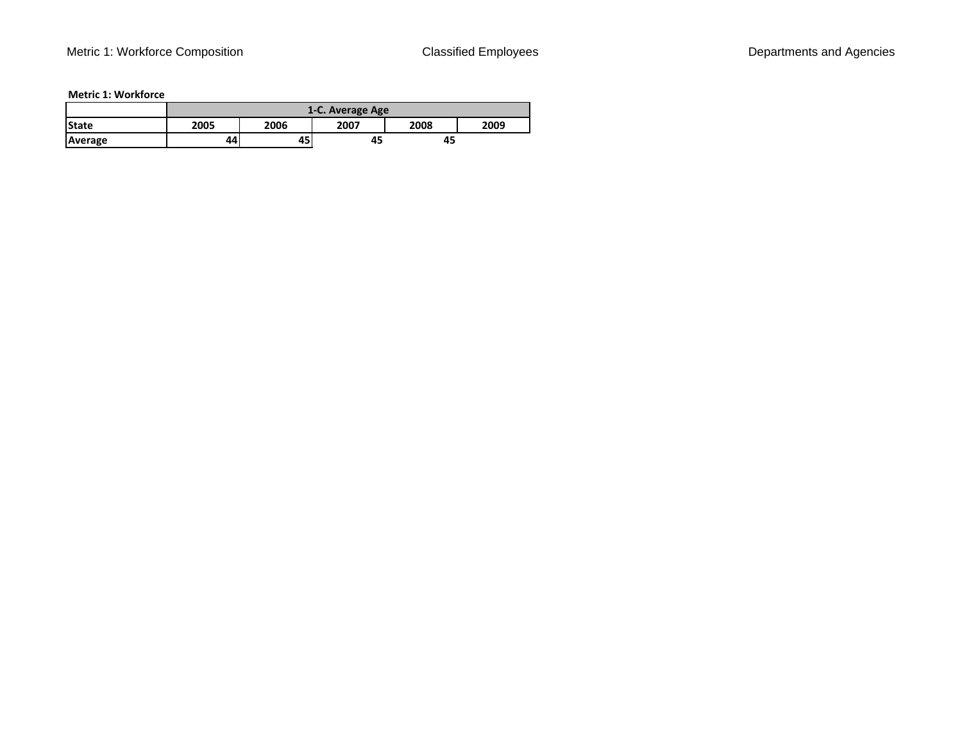|              | 1-C. Average Age |      |      |      |      |
|--------------|------------------|------|------|------|------|
| <b>State</b> | 2005             | 2006 | 2007 | 2008 | 2009 |
| Average      | 44               | 45   | 45   | 45   |      |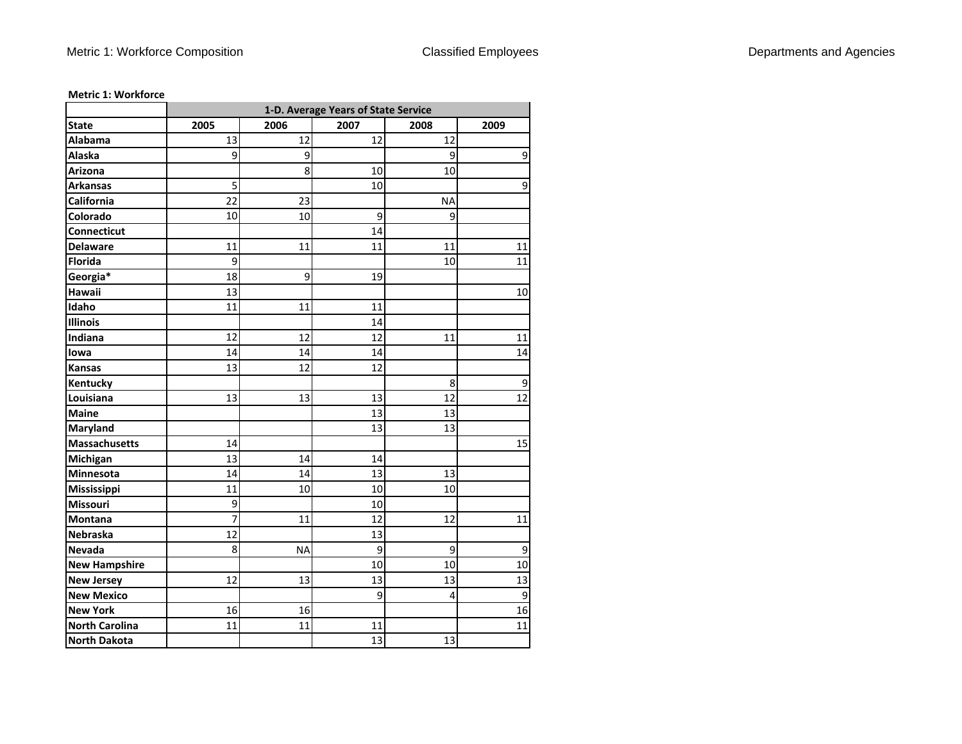|                       | 1-D. Average Years of State Service |           |      |           |             |
|-----------------------|-------------------------------------|-----------|------|-----------|-------------|
| <b>State</b>          | 2005                                | 2006      | 2007 | 2008      | 2009        |
| Alabama               | 13                                  | 12        | 12   | 12        |             |
| Alaska                | 9                                   | 9         |      | 9         | $\mathsf 9$ |
| Arizona               |                                     | 8         | 10   | 10        |             |
| <b>Arkansas</b>       | 5                                   |           | 10   |           | 9           |
| California            | 22                                  | 23        |      | <b>NA</b> |             |
| Colorado              | 10                                  | 10        | 9    | 9         |             |
| Connecticut           |                                     |           | 14   |           |             |
| <b>Delaware</b>       | 11                                  | 11        | 11   | 11        | 11          |
| <b>Florida</b>        | 9                                   |           |      | 10        | 11          |
| Georgia*              | 18                                  | 9         | 19   |           |             |
| Hawaii                | 13                                  |           |      |           | 10          |
| Idaho                 | 11                                  | 11        | 11   |           |             |
| Illinois              |                                     |           | 14   |           |             |
| Indiana               | 12                                  | 12        | 12   | 11        | 11          |
| lowa                  | 14                                  | 14        | 14   |           | 14          |
| Kansas                | 13                                  | 12        | 12   |           |             |
| Kentucky              |                                     |           |      | 8         | 9           |
| Louisiana             | 13                                  | 13        | 13   | 12        | 12          |
| <b>Maine</b>          |                                     |           | 13   | 13        |             |
| Maryland              |                                     |           | 13   | 13        |             |
| Massachusetts         | 14                                  |           |      |           | 15          |
| Michigan              | 13                                  | 14        | 14   |           |             |
| Minnesota             | 14                                  | 14        | 13   | 13        |             |
| Mississippi           | 11                                  | 10        | 10   | 10        |             |
| Missouri              | 9                                   |           | 10   |           |             |
| Montana               | 7                                   | 11        | 12   | 12        | 11          |
| Nebraska              | 12                                  |           | 13   |           |             |
| Nevada                | 8                                   | <b>NA</b> | 9    | 9         | 9           |
| <b>New Hampshire</b>  |                                     |           | 10   | 10        | 10          |
| <b>New Jersey</b>     | 12                                  | 13        | 13   | 13        | 13          |
| <b>New Mexico</b>     |                                     |           | 9    | 4         | 9           |
| <b>New York</b>       | 16                                  | 16        |      |           | 16          |
| <b>North Carolina</b> | 11                                  | 11        | 11   |           | 11          |
| <b>North Dakota</b>   |                                     |           | 13   | 13        |             |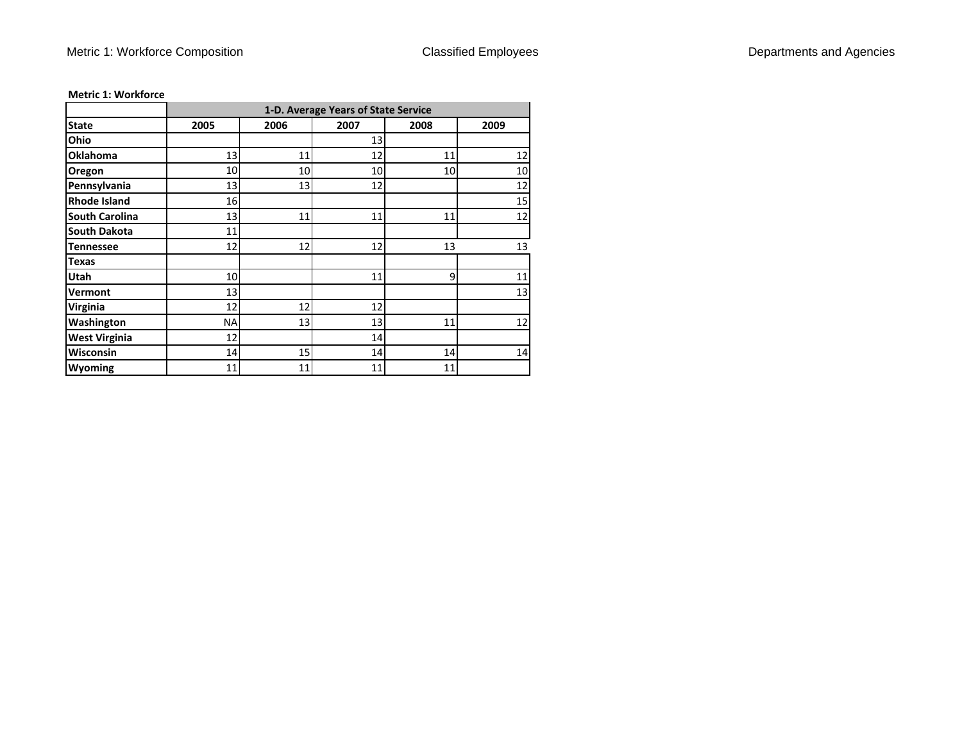|                       |      | 1-D. Average Years of State Service |      |      |        |  |  |
|-----------------------|------|-------------------------------------|------|------|--------|--|--|
| <b>State</b>          | 2005 | 2006                                | 2007 | 2008 | 2009   |  |  |
| Ohio                  |      |                                     | 13   |      |        |  |  |
| <b>Oklahoma</b>       | 13   | 11                                  | 12   | 11   | 12     |  |  |
| Oregon                | 10   | 10                                  | 10   | 10   | 10     |  |  |
| Pennsylvania          | 13   | 13                                  | 12   |      | 12     |  |  |
| <b>Rhode Island</b>   | 16   |                                     |      |      | 15     |  |  |
| <b>South Carolina</b> | 13   | 11                                  | 11   | 11   | 12     |  |  |
| <b>South Dakota</b>   | 11   |                                     |      |      |        |  |  |
| <b>Tennessee</b>      | 12   | 12                                  | 12   | 13   | 13     |  |  |
| <b>Texas</b>          |      |                                     |      |      |        |  |  |
| <b>Utah</b>           | 10   |                                     | 11   | 9    | $11\,$ |  |  |
| Vermont               | 13   |                                     |      |      | 13     |  |  |
| <b>Virginia</b>       | 12   | 12                                  | 12   |      |        |  |  |
| Washington            | NA   | 13                                  | 13   | 11   | 12     |  |  |
| <b>West Virginia</b>  | 12   |                                     | 14   |      |        |  |  |
| Wisconsin             | 14   | 15                                  | 14   | 14   | 14     |  |  |
| <b>Wyoming</b>        | 11   | 11                                  | 11   | 11   |        |  |  |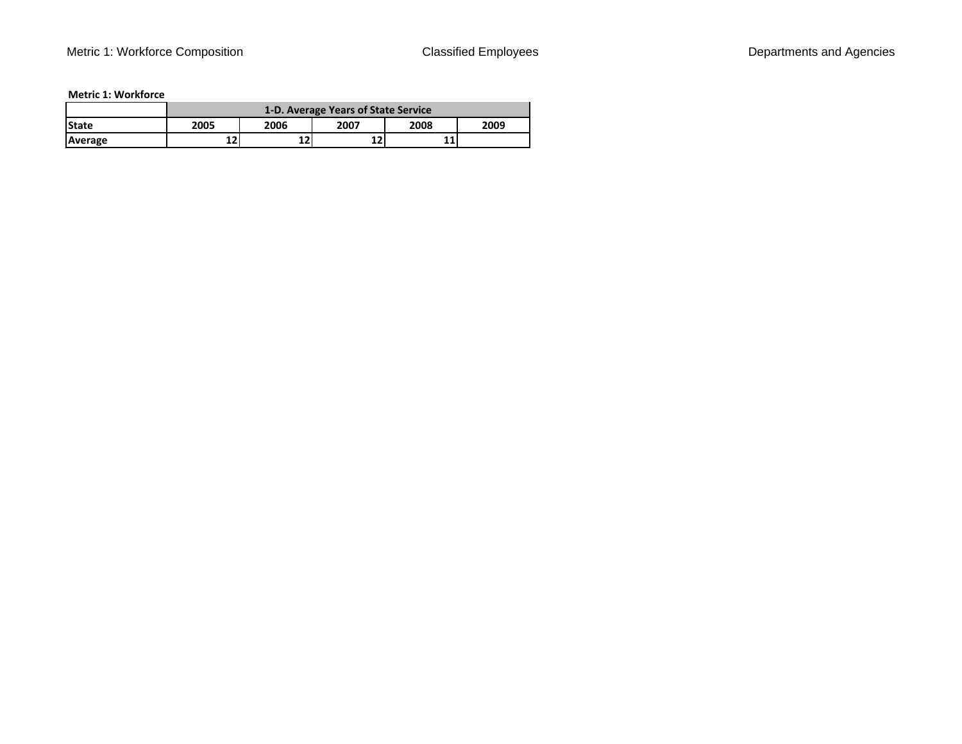|              | 1-D. Average Years of State Service |                              |           |  |  |  |  |  |  |  |  |
|--------------|-------------------------------------|------------------------------|-----------|--|--|--|--|--|--|--|--|
| <b>State</b> | 2005                                | 2009<br>2008<br>2007<br>2006 |           |  |  |  |  |  |  |  |  |
| Average      | 12                                  | 12                           | 1 7<br>LZ |  |  |  |  |  |  |  |  |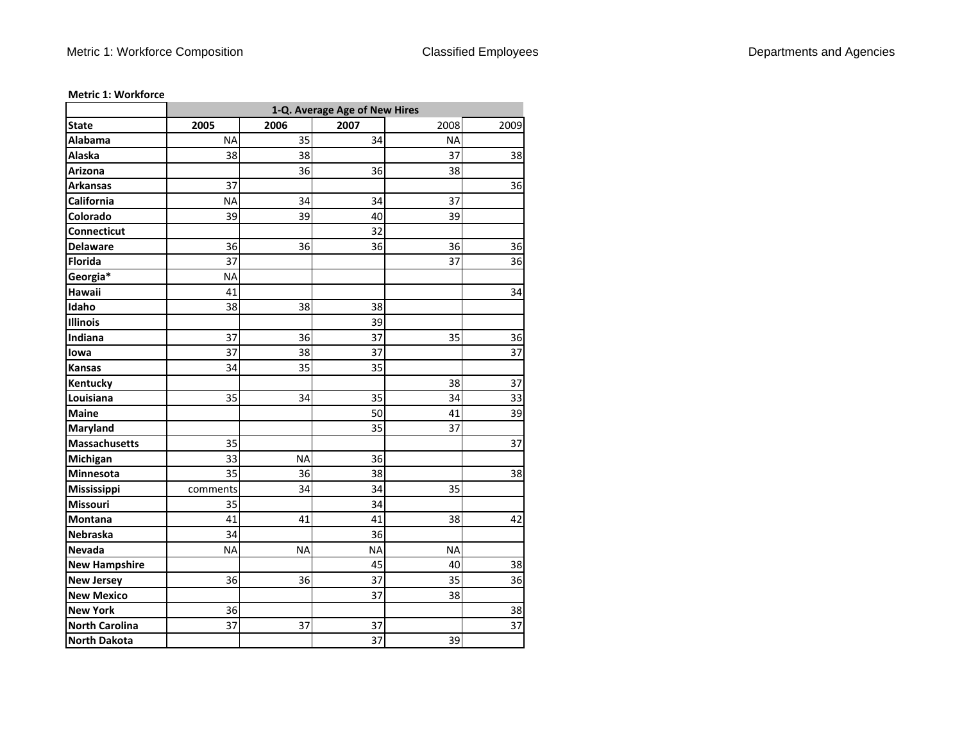|                       | 1-Q. Average Age of New Hires |           |           |           |      |  |  |  |  |  |  |
|-----------------------|-------------------------------|-----------|-----------|-----------|------|--|--|--|--|--|--|
| <b>State</b>          | 2005                          | 2006      | 2007      | 2008      | 2009 |  |  |  |  |  |  |
| Alabama               | <b>NA</b>                     | 35        | 34        | <b>NA</b> |      |  |  |  |  |  |  |
| Alaska                | 38                            | 38        |           | 37        | 38   |  |  |  |  |  |  |
| Arizona               |                               | 36        | 36        | 38        |      |  |  |  |  |  |  |
| <b>Arkansas</b>       | 37                            |           |           |           | 36   |  |  |  |  |  |  |
| California            | <b>NA</b>                     | 34        | 34        | 37        |      |  |  |  |  |  |  |
| Colorado              | 39                            | 39        | 40        | 39        |      |  |  |  |  |  |  |
| Connecticut           |                               |           | 32        |           |      |  |  |  |  |  |  |
| <b>Delaware</b>       | 36                            | 36        | 36        | 36        | 36   |  |  |  |  |  |  |
| <b>Florida</b>        | 37                            |           |           | 37        | 36   |  |  |  |  |  |  |
| Georgia*              | <b>NA</b>                     |           |           |           |      |  |  |  |  |  |  |
| Hawaii                | 41                            |           |           |           | 34   |  |  |  |  |  |  |
| Idaho                 | 38                            | 38        | 38        |           |      |  |  |  |  |  |  |
| Illinois              |                               |           | 39        |           |      |  |  |  |  |  |  |
| Indiana               | 37                            | 36        | 37        | 35        | 36   |  |  |  |  |  |  |
| lowa                  | 37                            | 38        | 37        |           | 37   |  |  |  |  |  |  |
| <b>Kansas</b>         | 34                            | 35        | 35        |           |      |  |  |  |  |  |  |
| Kentucky              |                               |           |           | 38        | 37   |  |  |  |  |  |  |
| Louisiana             | 35                            | 34        | 35        | 34        | 33   |  |  |  |  |  |  |
| <b>Maine</b>          |                               |           | 50        | 41        | 39   |  |  |  |  |  |  |
| Maryland              |                               |           | 35        | 37        |      |  |  |  |  |  |  |
| <b>Massachusetts</b>  | 35                            |           |           |           | 37   |  |  |  |  |  |  |
| Michigan              | 33                            | <b>NA</b> | 36        |           |      |  |  |  |  |  |  |
| Minnesota             | 35                            | 36        | 38        |           | 38   |  |  |  |  |  |  |
| Mississippi           | comments                      | 34        | 34        | 35        |      |  |  |  |  |  |  |
| Missouri              | 35                            |           | 34        |           |      |  |  |  |  |  |  |
| Montana               | 41                            | 41        | 41        | 38        | 42   |  |  |  |  |  |  |
| Nebraska              | 34                            |           | 36        |           |      |  |  |  |  |  |  |
| Nevada                | <b>NA</b>                     | <b>NA</b> | <b>NA</b> | <b>NA</b> |      |  |  |  |  |  |  |
| <b>New Hampshire</b>  |                               |           | 45        | 40        | 38   |  |  |  |  |  |  |
| <b>New Jersey</b>     | 36                            | 36        | 37        | 35        | 36   |  |  |  |  |  |  |
| <b>New Mexico</b>     |                               |           | 37        | 38        |      |  |  |  |  |  |  |
| <b>New York</b>       | 36                            |           |           |           | 38   |  |  |  |  |  |  |
| <b>North Carolina</b> | 37                            | 37        | 37        |           | 37   |  |  |  |  |  |  |
| <b>North Dakota</b>   |                               |           | 37        | 39        |      |  |  |  |  |  |  |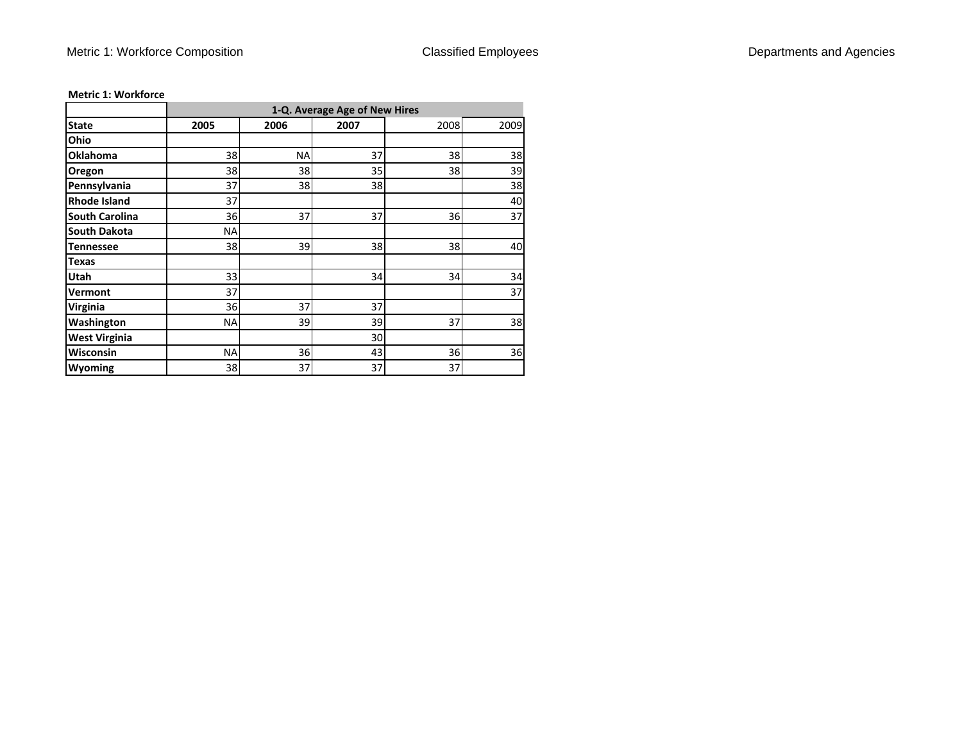|                       |      | 1-Q. Average Age of New Hires |      |      |      |  |  |  |  |  |  |  |  |
|-----------------------|------|-------------------------------|------|------|------|--|--|--|--|--|--|--|--|
| <b>State</b>          | 2005 | 2006                          | 2007 | 2008 | 2009 |  |  |  |  |  |  |  |  |
| Ohio                  |      |                               |      |      |      |  |  |  |  |  |  |  |  |
| <b>Oklahoma</b>       | 38   | <b>NA</b>                     | 37   | 38   | 38   |  |  |  |  |  |  |  |  |
| Oregon                | 38   | 38                            | 35   | 38   | 39   |  |  |  |  |  |  |  |  |
| Pennsylvania          | 37   | 38                            | 38   |      | 38   |  |  |  |  |  |  |  |  |
| <b>Rhode Island</b>   | 37   |                               |      |      | 40   |  |  |  |  |  |  |  |  |
| <b>South Carolina</b> | 36   | 37                            | 37   | 36   | 37   |  |  |  |  |  |  |  |  |
| <b>South Dakota</b>   | ΝA   |                               |      |      |      |  |  |  |  |  |  |  |  |
| <b>Tennessee</b>      | 38   | 39                            | 38   | 38   | 40   |  |  |  |  |  |  |  |  |
| <b>Texas</b>          |      |                               |      |      |      |  |  |  |  |  |  |  |  |
| Utah                  | 33   |                               | 34   | 34   | 34   |  |  |  |  |  |  |  |  |
| Vermont               | 37   |                               |      |      | 37   |  |  |  |  |  |  |  |  |
| Virginia              | 36   | 37                            | 37   |      |      |  |  |  |  |  |  |  |  |
| Washington            | NA   | 39                            | 39   | 37   | 38   |  |  |  |  |  |  |  |  |
| <b>West Virginia</b>  |      |                               | 30   |      |      |  |  |  |  |  |  |  |  |
| <b>Wisconsin</b>      | NA   | 36                            | 43   | 36   | 36   |  |  |  |  |  |  |  |  |
| Wyoming               | 38   | 37                            | 37   | 37   |      |  |  |  |  |  |  |  |  |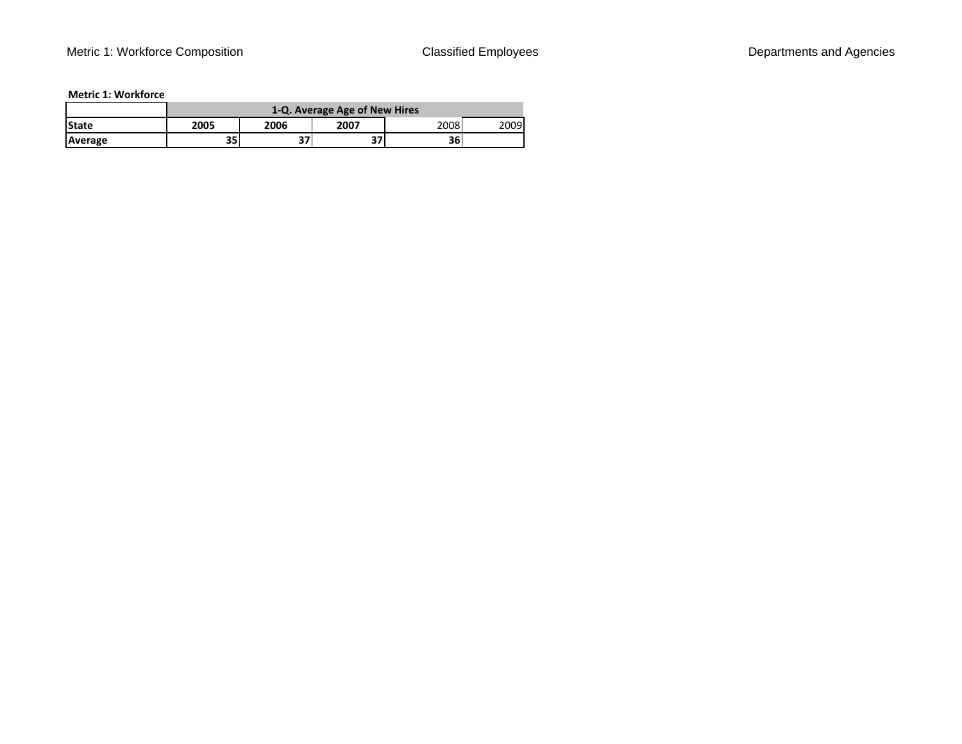|              |      | 1-Q. Average Age of New Hires |           |      |      |  |  |  |  |  |  |  |
|--------------|------|-------------------------------|-----------|------|------|--|--|--|--|--|--|--|
| <b>State</b> | 2005 | 2006                          | 2007      | 2008 | 2009 |  |  |  |  |  |  |  |
| Average      | 35   | יר                            | --<br>، ت | 361  |      |  |  |  |  |  |  |  |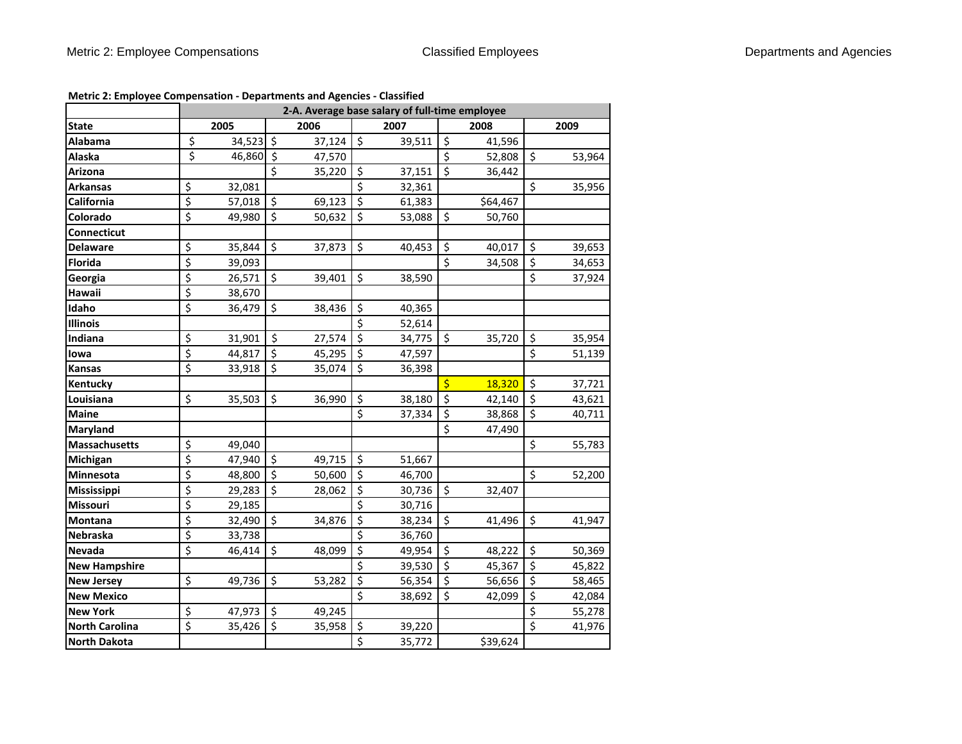|                       | 2-A. Average base salary of full-time employee |           |                      |        |                                |        |                          |          |                         |        |
|-----------------------|------------------------------------------------|-----------|----------------------|--------|--------------------------------|--------|--------------------------|----------|-------------------------|--------|
| <b>State</b>          |                                                | 2005      |                      | 2006   |                                | 2007   |                          | 2008     |                         | 2009   |
| Alabama               | \$                                             | 34,523 \$ |                      | 37,124 | $\zeta$                        | 39,511 | $\zeta$                  | 41,596   |                         |        |
| Alaska                | \$                                             | 46,860 \$ |                      | 47,570 |                                |        | \$                       | 52,808   | \$                      | 53,964 |
| Arizona               |                                                |           | $\boldsymbol{\zeta}$ | 35,220 | $\zeta$                        | 37,151 | \$                       | 36,442   |                         |        |
| <b>Arkansas</b>       | \$                                             | 32,081    |                      |        | \$                             | 32,361 |                          |          | \$                      | 35,956 |
| California            | $\overline{\xi}$                               | 57,018    | $\zeta$              | 69,123 | $\zeta$                        | 61,383 |                          | \$64,467 |                         |        |
| Colorado              | $\overline{\xi}$                               | 49,980    | \$                   | 50,632 | \$                             | 53,088 | \$                       | 50,760   |                         |        |
| <b>Connecticut</b>    |                                                |           |                      |        |                                |        |                          |          |                         |        |
| <b>Delaware</b>       | \$                                             | 35,844    | $\zeta$              | 37,873 | \$                             | 40,453 | \$                       | 40,017   | \$                      | 39,653 |
| <b>Florida</b>        | $\overline{\xi}$                               | 39,093    |                      |        |                                |        | \$                       | 34,508   | \$                      | 34,653 |
| Georgia               | \$                                             | 26,571    | \$                   | 39,401 | \$                             | 38,590 |                          |          | \$                      | 37,924 |
| Hawaii                | $\overline{\xi}$                               | 38,670    |                      |        |                                |        |                          |          |                         |        |
| Idaho                 | $\overline{\xi}$                               | 36,479    | $\frac{1}{2}$        | 38,436 | \$                             | 40,365 |                          |          |                         |        |
| <b>Illinois</b>       |                                                |           |                      |        | \$                             | 52,614 |                          |          |                         |        |
| Indiana               | \$                                             | 31,901    | $\ddot{\mathsf{S}}$  | 27,574 | $\zeta$                        | 34,775 | $\zeta$                  | 35,720   | \$                      | 35,954 |
| lowa                  | $\overline{\xi}$                               | 44,817    | $\zeta$              | 45,295 | $\zeta$                        | 47,597 |                          |          | \$                      | 51,139 |
| <b>Kansas</b>         | $\overline{\xi}$                               | 33,918    | $\zeta$              | 35,074 | $\boldsymbol{\dot{\varsigma}}$ | 36,398 |                          |          |                         |        |
| Kentucky              |                                                |           |                      |        |                                |        | $\overline{\mathsf{S}}$  | 18,320   | \$                      | 37,721 |
| Louisiana             | \$                                             | 35,503    | $\zeta$              | 36,990 | \$                             | 38,180 | $\overline{\xi}$         | 42,140   | \$                      | 43,621 |
| <b>Maine</b>          |                                                |           |                      |        | \$                             | 37,334 | \$                       | 38,868   | \$                      | 40,711 |
| <b>Maryland</b>       |                                                |           |                      |        |                                |        | \$                       | 47,490   |                         |        |
| <b>Massachusetts</b>  | \$                                             | 49,040    |                      |        |                                |        |                          |          | \$                      | 55,783 |
| Michigan              | \$                                             | 47,940    | $\zeta$              | 49,715 | $\zeta$                        | 51,667 |                          |          |                         |        |
| Minnesota             | $\overline{\xi}$                               | 48,800    | $\zeta$              | 50,600 | \$                             | 46,700 |                          |          | \$                      | 52,200 |
| Mississippi           | $\overline{\xi}$                               | 29,283    | \$                   | 28,062 | \$                             | 30,736 | \$                       | 32,407   |                         |        |
| Missouri              | \$                                             | 29,185    |                      |        | $\zeta$                        | 30,716 |                          |          |                         |        |
| Montana               | $\overline{\xi}$                               | 32,490    | $\zeta$              | 34,876 | $\zeta$                        | 38,234 | $\zeta$                  | 41,496   | \$                      | 41,947 |
| Nebraska              | $\overline{\xi}$                               | 33,738    |                      |        | $\overline{\xi}$               | 36,760 |                          |          |                         |        |
| Nevada                | $\overline{\mathsf{S}}$                        | 46,414    | $\zeta$              | 48,099 | $\overline{\xi}$               | 49,954 | \$                       | 48,222   | $\zeta$                 | 50,369 |
| <b>New Hampshire</b>  |                                                |           |                      |        | \$                             | 39,530 | \$                       | 45,367   | \$                      | 45,822 |
| <b>New Jersey</b>     | $\overline{\xi}$                               | 49,736    | \$                   | 53,282 | $\overline{\xi}$               | 56,354 | $\overline{\mathcal{S}}$ | 56,656   | $\overline{\xi}$        | 58,465 |
| <b>New Mexico</b>     |                                                |           |                      |        | $\overline{\mathsf{S}}$        | 38,692 | $\zeta$                  | 42,099   | \$                      | 42,084 |
| <b>New York</b>       | \$                                             | 47,973    | $\zeta$              | 49,245 |                                |        |                          |          | \$                      | 55,278 |
| <b>North Carolina</b> | $\overline{\xi}$                               | 35,426    | $\zeta$              | 35,958 | \$                             | 39,220 |                          |          | $\overline{\mathsf{S}}$ | 41,976 |
| <b>North Dakota</b>   |                                                |           |                      |        | $\overline{\mathsf{S}}$        | 35,772 |                          | \$39,624 |                         |        |

**Metric 2: Employee Compensation ‐ Departments and Agencies ‐ Classified**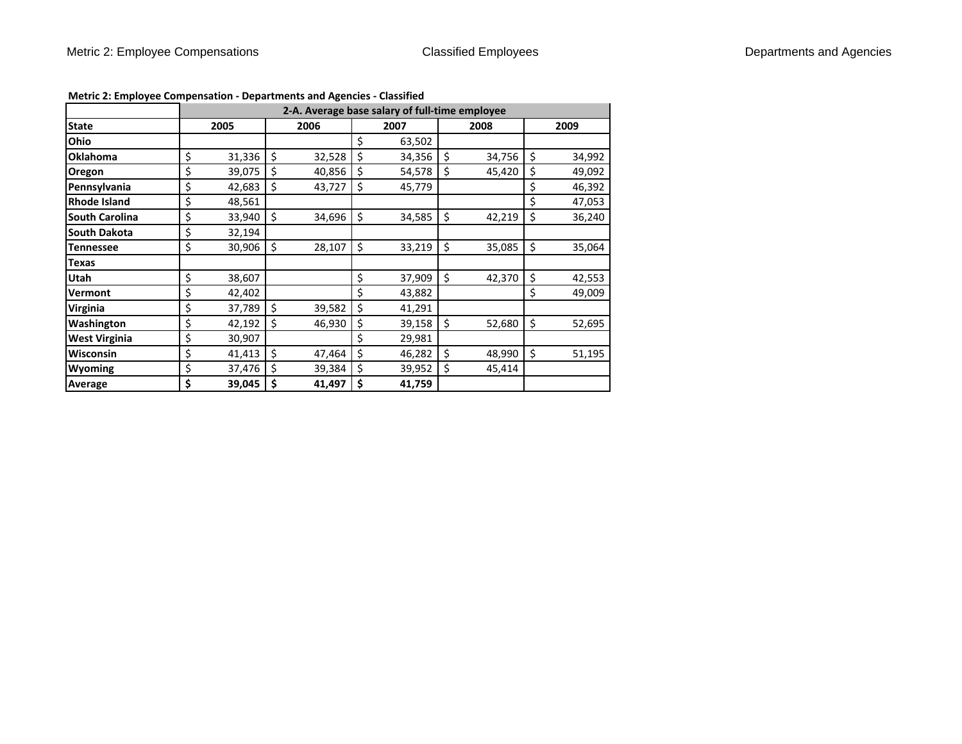|                       | 2-A. Average base salary of full-time employee |        |    |        |    |        |    |        |    |        |  |  |  |
|-----------------------|------------------------------------------------|--------|----|--------|----|--------|----|--------|----|--------|--|--|--|
| <b>State</b>          | 2005                                           |        |    | 2006   |    | 2007   |    | 2008   |    | 2009   |  |  |  |
| Ohio                  |                                                |        |    |        | \$ | 63,502 |    |        |    |        |  |  |  |
| <b>Oklahoma</b>       | \$                                             | 31,336 | \$ | 32,528 | \$ | 34,356 | \$ | 34,756 | \$ | 34,992 |  |  |  |
| Oregon                | \$                                             | 39,075 | \$ | 40,856 | \$ | 54,578 | \$ | 45,420 | \$ | 49,092 |  |  |  |
| Pennsylvania          | \$                                             | 42,683 | \$ | 43,727 | \$ | 45,779 |    |        | \$ | 46,392 |  |  |  |
| <b>Rhode Island</b>   | \$                                             | 48,561 |    |        |    |        |    |        | \$ | 47,053 |  |  |  |
| <b>South Carolina</b> | \$                                             | 33,940 | \$ | 34,696 | \$ | 34,585 | \$ | 42,219 | \$ | 36,240 |  |  |  |
| <b>South Dakota</b>   | \$                                             | 32,194 |    |        |    |        |    |        |    |        |  |  |  |
| <b>Tennessee</b>      | \$                                             | 30,906 | \$ | 28,107 | \$ | 33,219 | \$ | 35,085 | \$ | 35,064 |  |  |  |
| <b>Texas</b>          |                                                |        |    |        |    |        |    |        |    |        |  |  |  |
| <b>Utah</b>           | \$                                             | 38,607 |    |        | \$ | 37,909 | \$ | 42,370 | \$ | 42,553 |  |  |  |
| Vermont               | \$                                             | 42,402 |    |        | \$ | 43,882 |    |        | \$ | 49,009 |  |  |  |
| <b>Virginia</b>       | \$                                             | 37,789 | Ŝ. | 39,582 | \$ | 41,291 |    |        |    |        |  |  |  |
| <b>Washington</b>     | \$                                             | 42,192 | Ś  | 46,930 | \$ | 39,158 | Ś. | 52,680 | \$ | 52,695 |  |  |  |
| <b>West Virginia</b>  | \$                                             | 30,907 |    |        | \$ | 29,981 |    |        |    |        |  |  |  |
| <b>Wisconsin</b>      | \$                                             | 41,413 | \$ | 47,464 | \$ | 46,282 | \$ | 48,990 | \$ | 51,195 |  |  |  |
| <b>Wyoming</b>        | \$                                             | 37,476 | Ś  | 39,384 | \$ | 39,952 | \$ | 45,414 |    |        |  |  |  |
| Average               | \$                                             | 39,045 | S  | 41,497 | \$ | 41,759 |    |        |    |        |  |  |  |

# **Metric 2: Employee Compensation ‐ Departments and Agencies ‐ Classified**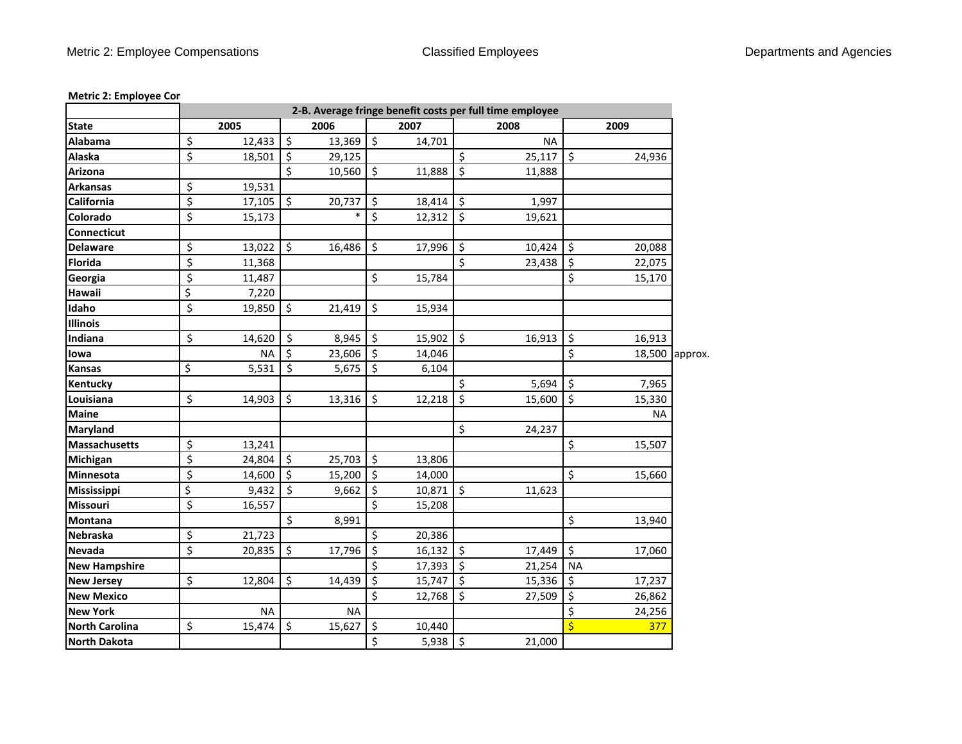## **Metric 2: Employee Co m**

|                       |                  |           |         |           |                  |        |         | 2-B. Average fringe benefit costs per full time employee |                         |           |         |
|-----------------------|------------------|-----------|---------|-----------|------------------|--------|---------|----------------------------------------------------------|-------------------------|-----------|---------|
| <b>State</b>          |                  | 2005      |         | 2006      |                  | 2007   |         | 2008                                                     |                         | 2009      |         |
| Alabama               | \$               | 12,433    | \$      | 13,369    | $\zeta$          | 14,701 |         | <b>NA</b>                                                |                         |           |         |
| Alaska                | \$               | 18,501    | \$      | 29,125    |                  |        | \$      | $25,117$ \$                                              |                         | 24,936    |         |
| Arizona               |                  |           | \$      | 10,560    | \$               | 11,888 | $\zeta$ | 11,888                                                   |                         |           |         |
| <b>Arkansas</b>       | \$               | 19,531    |         |           |                  |        |         |                                                          |                         |           |         |
| California            | \$               | 17,105    | \$      | 20,737    | Ś.               | 18,414 | $\zeta$ | 1,997                                                    |                         |           |         |
| <b>Colorado</b>       | \$               | 15,173    |         | $\ast$    | \$               | 12,312 | $\zeta$ | 19,621                                                   |                         |           |         |
| <b>Connecticut</b>    |                  |           |         |           |                  |        |         |                                                          |                         |           |         |
| <b>Delaware</b>       | \$               | 13,022    | \$      | 16,486    | \$               | 17,996 | \$      | 10,424                                                   | $\zeta$                 | 20,088    |         |
| <b>Florida</b>        | $\overline{\xi}$ | 11,368    |         |           |                  |        | \$      | 23,438                                                   | $\zeta$                 | 22,075    |         |
| Georgia               | $\overline{\xi}$ | 11,487    |         |           | \$               | 15,784 |         |                                                          | \$                      | 15,170    |         |
| Hawaii                | \$               | 7,220     |         |           |                  |        |         |                                                          |                         |           |         |
| Idaho                 | \$               | 19,850    | \$      | 21,419    | \$               | 15,934 |         |                                                          |                         |           |         |
| <b>Illinois</b>       |                  |           |         |           |                  |        |         |                                                          |                         |           |         |
| Indiana               | \$               | 14,620    | \$      | 8,945     | \$               | 15,902 | \$      | 16,913                                                   | \$                      | 16,913    |         |
| lowa                  |                  | <b>NA</b> | \$      | 23,606    | \$               | 14,046 |         |                                                          | \$                      | 18,500    | approx. |
| <b>Kansas</b>         | \$               | 5,531     | \$      | 5,675     | \$               | 6,104  |         |                                                          |                         |           |         |
| Kentucky              |                  |           |         |           |                  |        | \$      | 5,694                                                    | \$                      | 7,965     |         |
| Louisiana             | \$               | 14,903    | \$      | 13,316    | \$               | 12,218 | \$      | 15,600                                                   | $\vert$ \$              | 15,330    |         |
| <b>Maine</b>          |                  |           |         |           |                  |        |         |                                                          |                         | <b>NA</b> |         |
| Maryland              |                  |           |         |           |                  |        | \$      | 24,237                                                   |                         |           |         |
| <b>Massachusetts</b>  | \$               | 13,241    |         |           |                  |        |         |                                                          | $\zeta$                 | 15,507    |         |
| <b>Michigan</b>       | \$               | 24,804    | \$      | 25,703    | \$               | 13,806 |         |                                                          |                         |           |         |
| Minnesota             | \$               | 14,600    | \$      | 15,200    | \$               | 14,000 |         |                                                          | $\zeta$                 | 15,660    |         |
| Mississippi           | \$               | 9,432     | $\zeta$ | 9,662     | \$               | 10,871 | \$      | 11,623                                                   |                         |           |         |
| <b>Missouri</b>       | \$               | 16,557    |         |           | \$               | 15,208 |         |                                                          |                         |           |         |
| <b>Montana</b>        |                  |           | \$      | 8,991     |                  |        |         |                                                          | $\zeta$                 | 13,940    |         |
| Nebraska              | \$               | 21,723    |         |           | \$               | 20,386 |         |                                                          |                         |           |         |
| Nevada                | \$               | 20,835    | \$      | 17,796    | \$               | 16,132 | \$      | 17,449                                                   | \$                      | 17,060    |         |
| <b>New Hampshire</b>  |                  |           |         |           | \$               | 17,393 | \$      | 21,254                                                   | <b>NA</b>               |           |         |
| <b>New Jersey</b>     | \$               | 12,804    | \$      | 14,439    | \$               | 15,747 | \$      | 15,336                                                   | \$                      | 17,237    |         |
| <b>New Mexico</b>     |                  |           |         |           | \$               | 12,768 | $\zeta$ | 27,509                                                   | $\zeta$                 | 26,862    |         |
| <b>New York</b>       |                  | <b>NA</b> |         | <b>NA</b> |                  |        |         |                                                          | $\zeta$                 | 24,256    |         |
| <b>North Carolina</b> | \$               | 15,474    | \$      | 15,627    | \$               | 10,440 |         |                                                          | $\overline{\mathsf{S}}$ | 377       |         |
| <b>North Dakota</b>   |                  |           |         |           | $\overline{\xi}$ | 5,938  | $\zeta$ | 21,000                                                   |                         |           |         |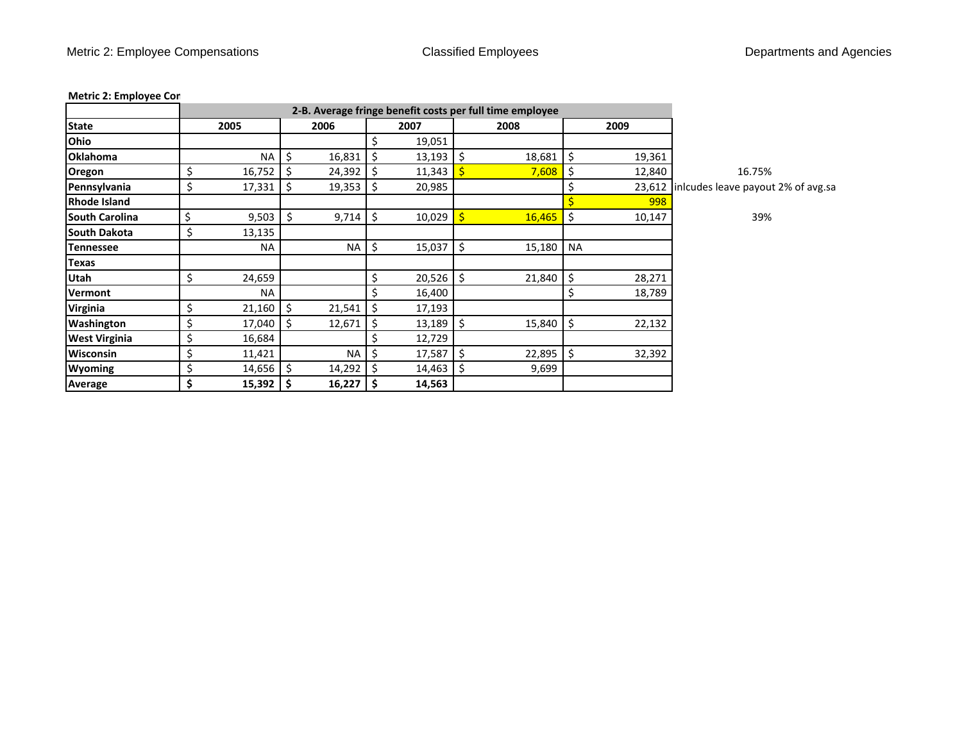# **Metric 2: Employee Co m**

|                       |                     |    |             |         |               |              | 2-B. Average fringe benefit costs per full time employee |           |        |                                           |
|-----------------------|---------------------|----|-------------|---------|---------------|--------------|----------------------------------------------------------|-----------|--------|-------------------------------------------|
| <b>State</b>          | 2005                |    | 2006        |         | 2007          |              | 2008                                                     |           | 2009   |                                           |
| Ohio                  |                     |    |             |         | 19,051        |              |                                                          |           |        |                                           |
| <b>Oklahoma</b>       | NA                  |    | 16,831      |         | $13,193$   \$ |              | 18,681                                                   | \$        | 19,361 |                                           |
| Oregon                | \$<br>16,752        |    | 24,392      | -S      | 11,343        |              | 7,608                                                    | \$        | 12,840 | 16.75%                                    |
| Pennsylvania          | \$<br>17,331        | \$ | 19,353      | Ŝ.      | 20,985        |              |                                                          | \$        |        | 23,612 inlcudes leave payout 2% of avg.sa |
| <b>Rhode Island</b>   |                     |    |             |         |               |              |                                                          |           | 998    |                                           |
| <b>South Carolina</b> | \$<br>9,503         | Ś  | 9,714       | $\zeta$ | 10,029        | $\mathsf{S}$ | 16,465                                                   | $\zeta$   | 10,147 | 39%                                       |
| <b>South Dakota</b>   | \$<br>13,135        |    |             |         |               |              |                                                          |           |        |                                           |
| <b>Tennessee</b>      | <b>NA</b>           |    | <b>NA</b>   | \$      | $15,037$ \$   |              | 15,180                                                   | <b>NA</b> |        |                                           |
| <b>Texas</b>          |                     |    |             |         |               |              |                                                          |           |        |                                           |
| Utah                  | \$<br>24,659        |    |             | \$      | $20,526$ \$   |              | 21,840                                                   | \$        | 28,271 |                                           |
| Vermont               | <b>NA</b>           |    |             | \$      | 16,400        |              |                                                          | \$        | 18,789 |                                           |
| Virginia              | \$<br>21,160        | S  | 21,541      | -\$     | 17,193        |              |                                                          |           |        |                                           |
| Washington            | \$<br>17,040        |    | 12,671      | -\$     | $13,189$ \$   |              | 15,840                                                   | \$        | 22,132 |                                           |
| <b>West Virginia</b>  | \$<br>16,684        |    |             | \$      | 12,729        |              |                                                          |           |        |                                           |
| <b>Wisconsin</b>      | \$<br>11,421        |    | <b>NA</b>   | \$      | $17,587$ \$   |              | 22,895                                                   | \$        | 32,392 |                                           |
| <b>Wyoming</b>        | \$<br>14,656        | Ŝ. | 14,292      | -\$     | $14,463$ \$   |              | 9,699                                                    |           |        |                                           |
| Average               | \$<br>$15,392$   \$ |    | $16,227$ \$ |         | 14,563        |              |                                                          |           |        |                                           |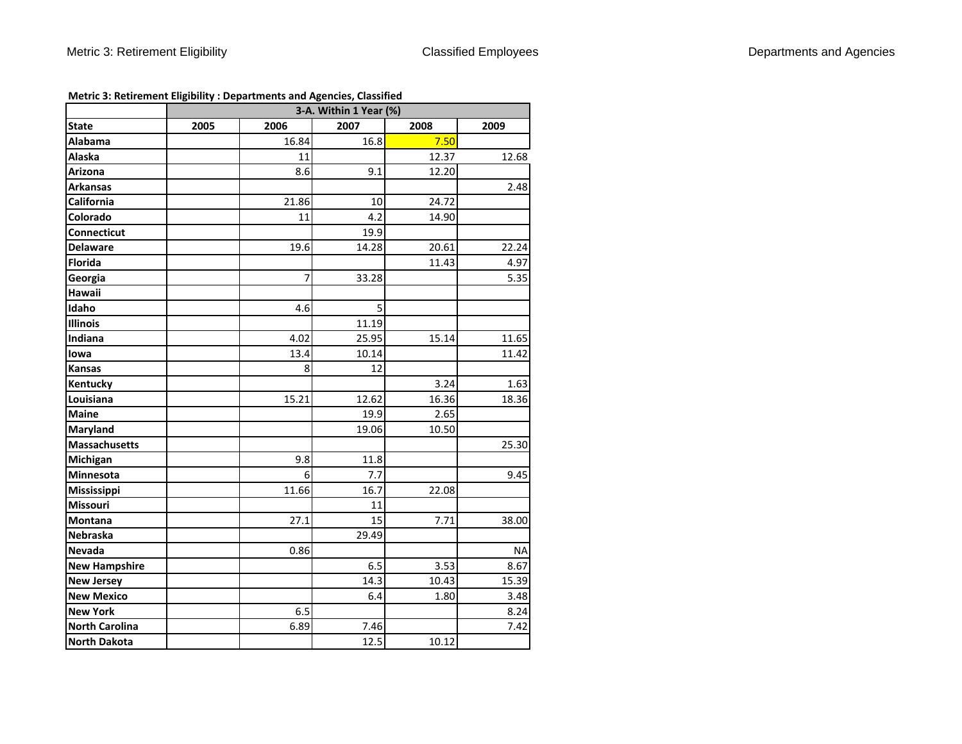**Metric 3: Retirement Eligibility : Departments and Agencies, Classified**

|                       | 3-A. Within 1 Year (%) |       |       |       |           |  |  |  |  |  |
|-----------------------|------------------------|-------|-------|-------|-----------|--|--|--|--|--|
| State                 | 2005                   | 2006  | 2007  | 2008  | 2009      |  |  |  |  |  |
| <b>Alabama</b>        |                        | 16.84 | 16.8  | 7.50  |           |  |  |  |  |  |
| Alaska                |                        | 11    |       | 12.37 | 12.68     |  |  |  |  |  |
| Arizona               |                        | 8.6   | 9.1   | 12.20 |           |  |  |  |  |  |
| <b>Arkansas</b>       |                        |       |       |       | 2.48      |  |  |  |  |  |
| California            |                        | 21.86 | 10    | 24.72 |           |  |  |  |  |  |
| Colorado              |                        | 11    | 4.2   | 14.90 |           |  |  |  |  |  |
| Connecticut           |                        |       | 19.9  |       |           |  |  |  |  |  |
| <b>Delaware</b>       |                        | 19.6  | 14.28 | 20.61 | 22.24     |  |  |  |  |  |
| <b>Florida</b>        |                        |       |       | 11.43 | 4.97      |  |  |  |  |  |
| Georgia               |                        | 7     | 33.28 |       | 5.35      |  |  |  |  |  |
| Hawaii                |                        |       |       |       |           |  |  |  |  |  |
| Idaho                 |                        | 4.6   | 5     |       |           |  |  |  |  |  |
| <b>Illinois</b>       |                        |       | 11.19 |       |           |  |  |  |  |  |
| Indiana               |                        | 4.02  | 25.95 | 15.14 | 11.65     |  |  |  |  |  |
| lowa                  |                        | 13.4  | 10.14 |       | 11.42     |  |  |  |  |  |
| <b>Kansas</b>         |                        | 8     | 12    |       |           |  |  |  |  |  |
| Kentucky              |                        |       |       | 3.24  | 1.63      |  |  |  |  |  |
| Louisiana             |                        | 15.21 | 12.62 | 16.36 | 18.36     |  |  |  |  |  |
| <b>Maine</b>          |                        |       | 19.9  | 2.65  |           |  |  |  |  |  |
| Maryland              |                        |       | 19.06 | 10.50 |           |  |  |  |  |  |
| <b>Massachusetts</b>  |                        |       |       |       | 25.30     |  |  |  |  |  |
| Michigan              |                        | 9.8   | 11.8  |       |           |  |  |  |  |  |
| Minnesota             |                        | 6     | 7.7   |       | 9.45      |  |  |  |  |  |
| Mississippi           |                        | 11.66 | 16.7  | 22.08 |           |  |  |  |  |  |
| Missouri              |                        |       | 11    |       |           |  |  |  |  |  |
| Montana               |                        | 27.1  | 15    | 7.71  | 38.00     |  |  |  |  |  |
| Nebraska              |                        |       | 29.49 |       |           |  |  |  |  |  |
| Nevada                |                        | 0.86  |       |       | <b>NA</b> |  |  |  |  |  |
| <b>New Hampshire</b>  |                        |       | 6.5   | 3.53  | 8.67      |  |  |  |  |  |
| <b>New Jersey</b>     |                        |       | 14.3  | 10.43 | 15.39     |  |  |  |  |  |
| <b>New Mexico</b>     |                        |       | 6.4   | 1.80  | 3.48      |  |  |  |  |  |
| <b>New York</b>       |                        | 6.5   |       |       | 8.24      |  |  |  |  |  |
| <b>North Carolina</b> |                        | 6.89  | 7.46  |       | 7.42      |  |  |  |  |  |
| <b>North Dakota</b>   |                        |       | 12.5  | 10.12 |           |  |  |  |  |  |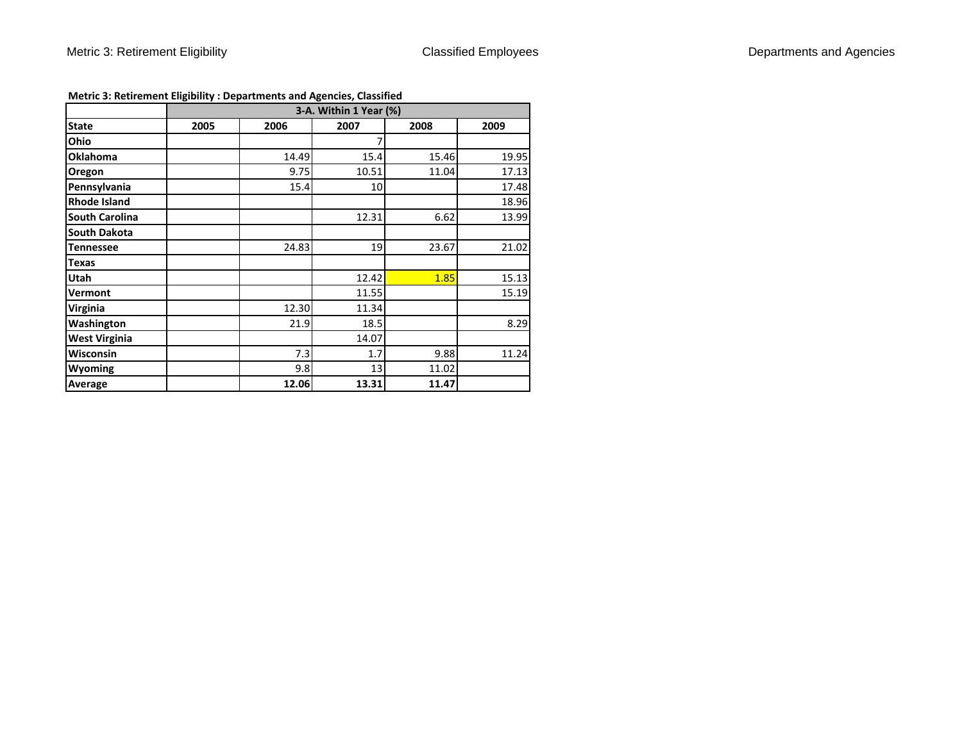|                       |      |       | 3-A. Within 1 Year (%) |       |       |  |
|-----------------------|------|-------|------------------------|-------|-------|--|
| <b>State</b>          | 2005 | 2006  | 2007                   | 2008  | 2009  |  |
| Ohio                  |      |       |                        |       |       |  |
| <b>Oklahoma</b>       |      | 14.49 | 15.4                   | 15.46 | 19.95 |  |
| Oregon                |      | 9.75  | 10.51                  | 11.04 | 17.13 |  |
| Pennsylvania          |      | 15.4  | 10                     |       | 17.48 |  |
| <b>Rhode Island</b>   |      |       |                        |       | 18.96 |  |
| <b>South Carolina</b> |      |       | 12.31                  | 6.62  | 13.99 |  |
| <b>South Dakota</b>   |      |       |                        |       |       |  |
| <b>Tennessee</b>      |      | 24.83 | 19                     | 23.67 | 21.02 |  |
| <b>Texas</b>          |      |       |                        |       |       |  |
| <b>Utah</b>           |      |       | 12.42                  | 1.85  | 15.13 |  |
| Vermont               |      |       | 11.55                  |       | 15.19 |  |
| Virginia              |      | 12.30 | 11.34                  |       |       |  |
| Washington            |      | 21.9  | 18.5                   |       | 8.29  |  |
| <b>West Virginia</b>  |      |       | 14.07                  |       |       |  |
| Wisconsin             |      | 7.3   | 1.7                    | 9.88  | 11.24 |  |
| Wyoming               |      | 9.8   | 13                     | 11.02 |       |  |
| <b>Average</b>        |      | 12.06 | 13.31                  | 11.47 |       |  |

## **Metric 3: Retirement Eligibility : Departments and Agencies, Classified**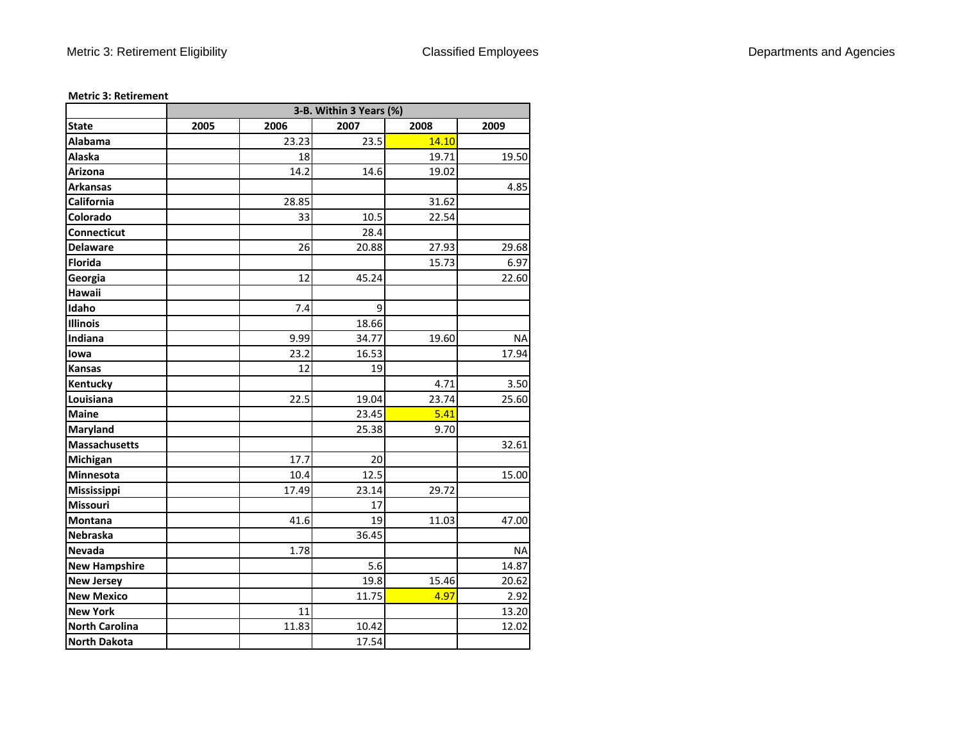|                       |      | 3-B. Within 3 Years (%) |       |       |           |  |  |  |  |  |  |  |
|-----------------------|------|-------------------------|-------|-------|-----------|--|--|--|--|--|--|--|
| <b>State</b>          | 2005 | 2006                    | 2007  | 2008  | 2009      |  |  |  |  |  |  |  |
| <b>Alabama</b>        |      | 23.23                   | 23.5  | 14.10 |           |  |  |  |  |  |  |  |
| Alaska                |      | 18                      |       | 19.71 | 19.50     |  |  |  |  |  |  |  |
| Arizona               |      | 14.2                    | 14.6  | 19.02 |           |  |  |  |  |  |  |  |
| <b>Arkansas</b>       |      |                         |       |       | 4.85      |  |  |  |  |  |  |  |
| California            |      | 28.85                   |       | 31.62 |           |  |  |  |  |  |  |  |
| Colorado              |      | 33                      | 10.5  | 22.54 |           |  |  |  |  |  |  |  |
| Connecticut           |      |                         | 28.4  |       |           |  |  |  |  |  |  |  |
| <b>Delaware</b>       |      | 26                      | 20.88 | 27.93 | 29.68     |  |  |  |  |  |  |  |
| <b>Florida</b>        |      |                         |       | 15.73 | 6.97      |  |  |  |  |  |  |  |
| Georgia               |      | 12                      | 45.24 |       | 22.60     |  |  |  |  |  |  |  |
| Hawaii                |      |                         |       |       |           |  |  |  |  |  |  |  |
| Idaho                 |      | 7.4                     | 9     |       |           |  |  |  |  |  |  |  |
| <b>Illinois</b>       |      |                         | 18.66 |       |           |  |  |  |  |  |  |  |
| Indiana               |      | 9.99                    | 34.77 | 19.60 | <b>NA</b> |  |  |  |  |  |  |  |
| lowa                  |      | 23.2                    | 16.53 |       | 17.94     |  |  |  |  |  |  |  |
| Kansas                |      | 12                      | 19    |       |           |  |  |  |  |  |  |  |
| Kentucky              |      |                         |       | 4.71  | 3.50      |  |  |  |  |  |  |  |
| Louisiana             |      | 22.5                    | 19.04 | 23.74 | 25.60     |  |  |  |  |  |  |  |
| <b>Maine</b>          |      |                         | 23.45 | 5.41  |           |  |  |  |  |  |  |  |
| Maryland              |      |                         | 25.38 | 9.70  |           |  |  |  |  |  |  |  |
| <b>Massachusetts</b>  |      |                         |       |       | 32.61     |  |  |  |  |  |  |  |
| Michigan              |      | 17.7                    | 20    |       |           |  |  |  |  |  |  |  |
| Minnesota             |      | 10.4                    | 12.5  |       | 15.00     |  |  |  |  |  |  |  |
| Mississippi           |      | 17.49                   | 23.14 | 29.72 |           |  |  |  |  |  |  |  |
| Missouri              |      |                         | 17    |       |           |  |  |  |  |  |  |  |
| Montana               |      | 41.6                    | 19    | 11.03 | 47.00     |  |  |  |  |  |  |  |
| Nebraska              |      |                         | 36.45 |       |           |  |  |  |  |  |  |  |
| Nevada                |      | 1.78                    |       |       | <b>NA</b> |  |  |  |  |  |  |  |
| <b>New Hampshire</b>  |      |                         | 5.6   |       | 14.87     |  |  |  |  |  |  |  |
| <b>New Jersey</b>     |      |                         | 19.8  | 15.46 | 20.62     |  |  |  |  |  |  |  |
| <b>New Mexico</b>     |      |                         | 11.75 | 4.97  | 2.92      |  |  |  |  |  |  |  |
| <b>New York</b>       |      | 11                      |       |       | 13.20     |  |  |  |  |  |  |  |
| <b>North Carolina</b> |      | 11.83                   | 10.42 |       | 12.02     |  |  |  |  |  |  |  |
| <b>North Dakota</b>   |      |                         | 17.54 |       |           |  |  |  |  |  |  |  |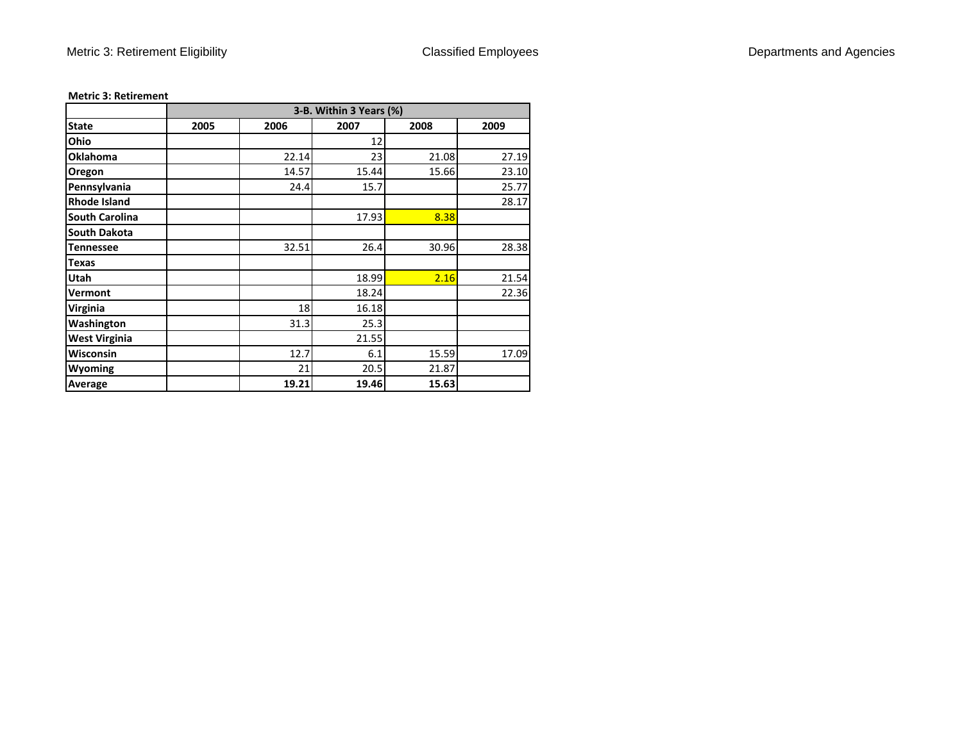|                       |      | 3-B. Within 3 Years (%) |       |       |       |  |  |  |  |  |  |  |  |
|-----------------------|------|-------------------------|-------|-------|-------|--|--|--|--|--|--|--|--|
| <b>State</b>          | 2005 | 2006                    | 2007  | 2008  | 2009  |  |  |  |  |  |  |  |  |
| Ohio                  |      |                         | 12    |       |       |  |  |  |  |  |  |  |  |
| <b>Oklahoma</b>       |      | 22.14                   | 23    | 21.08 | 27.19 |  |  |  |  |  |  |  |  |
| Oregon                |      | 14.57                   | 15.44 | 15.66 | 23.10 |  |  |  |  |  |  |  |  |
| Pennsylvania          |      | 24.4                    | 15.7  |       | 25.77 |  |  |  |  |  |  |  |  |
| <b>Rhode Island</b>   |      |                         |       |       | 28.17 |  |  |  |  |  |  |  |  |
| <b>South Carolina</b> |      |                         | 17.93 | 8.38  |       |  |  |  |  |  |  |  |  |
| <b>South Dakota</b>   |      |                         |       |       |       |  |  |  |  |  |  |  |  |
| <b>Tennessee</b>      |      | 32.51                   | 26.4  | 30.96 | 28.38 |  |  |  |  |  |  |  |  |
| <b>Texas</b>          |      |                         |       |       |       |  |  |  |  |  |  |  |  |
| Utah                  |      |                         | 18.99 | 2.16  | 21.54 |  |  |  |  |  |  |  |  |
| Vermont               |      |                         | 18.24 |       | 22.36 |  |  |  |  |  |  |  |  |
| <b>Virginia</b>       |      | 18                      | 16.18 |       |       |  |  |  |  |  |  |  |  |
| Washington            |      | 31.3                    | 25.3  |       |       |  |  |  |  |  |  |  |  |
| <b>West Virginia</b>  |      |                         | 21.55 |       |       |  |  |  |  |  |  |  |  |
| Wisconsin             |      | 12.7                    | 6.1   | 15.59 | 17.09 |  |  |  |  |  |  |  |  |
| <b>Wyoming</b>        |      | 21                      | 20.5  | 21.87 |       |  |  |  |  |  |  |  |  |
| Average               |      | 19.21                   | 19.46 | 15.63 |       |  |  |  |  |  |  |  |  |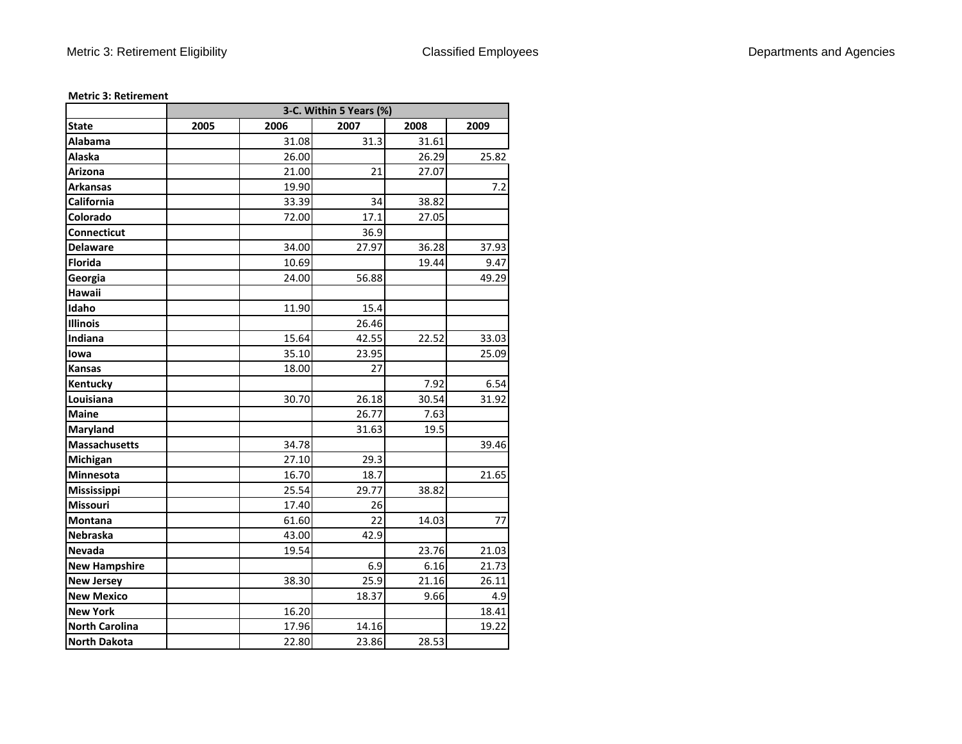|                       | 3-C. Within 5 Years (%) |       |       |       |       |  |
|-----------------------|-------------------------|-------|-------|-------|-------|--|
| <b>State</b>          | 2005                    | 2006  | 2007  | 2008  | 2009  |  |
| Alabama               |                         | 31.08 | 31.3  | 31.61 |       |  |
| Alaska                |                         | 26.00 |       | 26.29 | 25.82 |  |
| <b>Arizona</b>        |                         | 21.00 | 21    | 27.07 |       |  |
| <b>Arkansas</b>       |                         | 19.90 |       |       | 7.2   |  |
| California            |                         | 33.39 | 34    | 38.82 |       |  |
| Colorado              |                         | 72.00 | 17.1  | 27.05 |       |  |
| Connecticut           |                         |       | 36.9  |       |       |  |
| <b>Delaware</b>       |                         | 34.00 | 27.97 | 36.28 | 37.93 |  |
| <b>Florida</b>        |                         | 10.69 |       | 19.44 | 9.47  |  |
| Georgia               |                         | 24.00 | 56.88 |       | 49.29 |  |
| Hawaii                |                         |       |       |       |       |  |
| Idaho                 |                         | 11.90 | 15.4  |       |       |  |
| <b>Illinois</b>       |                         |       | 26.46 |       |       |  |
| Indiana               |                         | 15.64 | 42.55 | 22.52 | 33.03 |  |
| lowa                  |                         | 35.10 | 23.95 |       | 25.09 |  |
| <b>Kansas</b>         |                         | 18.00 | 27    |       |       |  |
| Kentucky              |                         |       |       | 7.92  | 6.54  |  |
| Louisiana             |                         | 30.70 | 26.18 | 30.54 | 31.92 |  |
| <b>Maine</b>          |                         |       | 26.77 | 7.63  |       |  |
| <b>Maryland</b>       |                         |       | 31.63 | 19.5  |       |  |
| <b>Massachusetts</b>  |                         | 34.78 |       |       | 39.46 |  |
| Michigan              |                         | 27.10 | 29.3  |       |       |  |
| Minnesota             |                         | 16.70 | 18.7  |       | 21.65 |  |
| Mississippi           |                         | 25.54 | 29.77 | 38.82 |       |  |
| Missouri              |                         | 17.40 | 26    |       |       |  |
| Montana               |                         | 61.60 | 22    | 14.03 | 77    |  |
| Nebraska              |                         | 43.00 | 42.9  |       |       |  |
| Nevada                |                         | 19.54 |       | 23.76 | 21.03 |  |
| <b>New Hampshire</b>  |                         |       | 6.9   | 6.16  | 21.73 |  |
| <b>New Jersey</b>     |                         | 38.30 | 25.9  | 21.16 | 26.11 |  |
| <b>New Mexico</b>     |                         |       | 18.37 | 9.66  | 4.9   |  |
| <b>New York</b>       |                         | 16.20 |       |       | 18.41 |  |
| <b>North Carolina</b> |                         | 17.96 | 14.16 |       | 19.22 |  |
| <b>North Dakota</b>   |                         | 22.80 | 23.86 | 28.53 |       |  |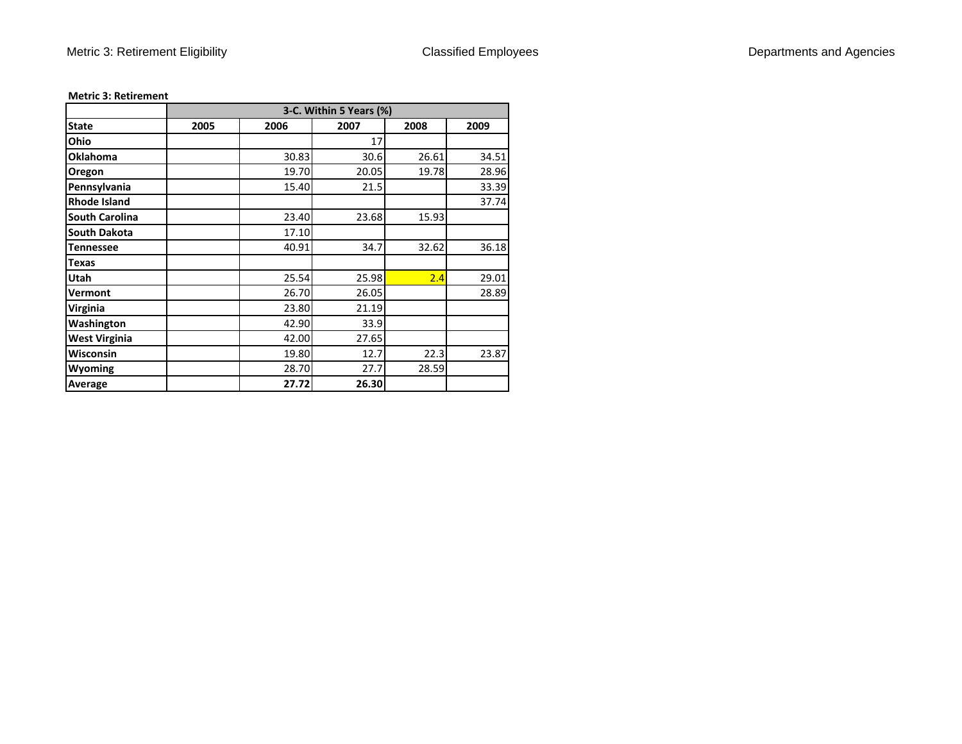|                       | 3-C. Within 5 Years (%) |       |       |       |       |  |  |
|-----------------------|-------------------------|-------|-------|-------|-------|--|--|
| <b>State</b>          | 2005                    | 2006  | 2007  | 2008  | 2009  |  |  |
| Ohio                  |                         |       | 17    |       |       |  |  |
| <b>Oklahoma</b>       |                         | 30.83 | 30.6  | 26.61 | 34.51 |  |  |
| Oregon                |                         | 19.70 | 20.05 | 19.78 | 28.96 |  |  |
| Pennsylvania          |                         | 15.40 | 21.5  |       | 33.39 |  |  |
| <b>Rhode Island</b>   |                         |       |       |       | 37.74 |  |  |
| <b>South Carolina</b> |                         | 23.40 | 23.68 | 15.93 |       |  |  |
| <b>South Dakota</b>   |                         | 17.10 |       |       |       |  |  |
| <b>Tennessee</b>      |                         | 40.91 | 34.7  | 32.62 | 36.18 |  |  |
| <b>Texas</b>          |                         |       |       |       |       |  |  |
| Utah                  |                         | 25.54 | 25.98 | 2.4   | 29.01 |  |  |
| Vermont               |                         | 26.70 | 26.05 |       | 28.89 |  |  |
| Virginia              |                         | 23.80 | 21.19 |       |       |  |  |
| Washington            |                         | 42.90 | 33.9  |       |       |  |  |
| <b>West Virginia</b>  |                         | 42.00 | 27.65 |       |       |  |  |
| <b>Wisconsin</b>      |                         | 19.80 | 12.7  | 22.3  | 23.87 |  |  |
| Wyoming               |                         | 28.70 | 27.7  | 28.59 |       |  |  |
| Average               |                         | 27.72 | 26.30 |       |       |  |  |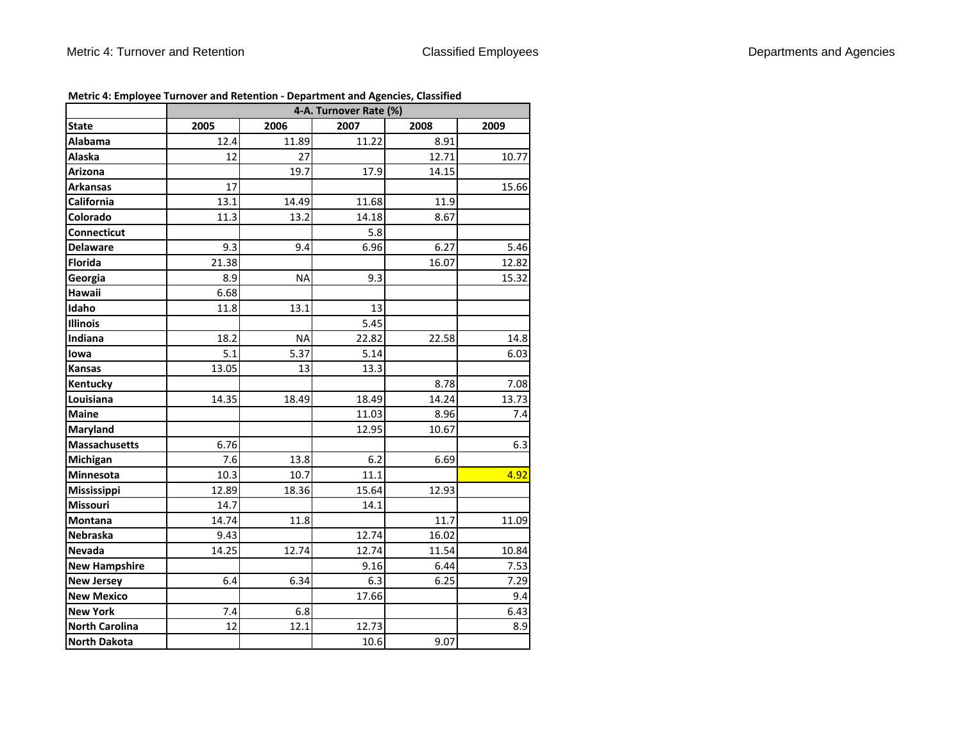|                       |       | 4-A. Turnover Rate (%) |       |       |       |  |  |
|-----------------------|-------|------------------------|-------|-------|-------|--|--|
| <b>State</b>          | 2005  | 2006                   | 2007  | 2008  | 2009  |  |  |
| Alabama               | 12.4  | 11.89                  | 11.22 | 8.91  |       |  |  |
| Alaska                | 12    | 27                     |       | 12.71 | 10.77 |  |  |
| Arizona               |       | 19.7                   | 17.9  | 14.15 |       |  |  |
| <b>Arkansas</b>       | 17    |                        |       |       | 15.66 |  |  |
| California            | 13.1  | 14.49                  | 11.68 | 11.9  |       |  |  |
| Colorado              | 11.3  | 13.2                   | 14.18 | 8.67  |       |  |  |
| Connecticut           |       |                        | 5.8   |       |       |  |  |
| <b>Delaware</b>       | 9.3   | 9.4                    | 6.96  | 6.27  | 5.46  |  |  |
| <b>Florida</b>        | 21.38 |                        |       | 16.07 | 12.82 |  |  |
| Georgia               | 8.9   | <b>NA</b>              | 9.3   |       | 15.32 |  |  |
| Hawaii                | 6.68  |                        |       |       |       |  |  |
| Idaho                 | 11.8  | 13.1                   | 13    |       |       |  |  |
| <b>Illinois</b>       |       |                        | 5.45  |       |       |  |  |
| Indiana               | 18.2  | <b>NA</b>              | 22.82 | 22.58 | 14.8  |  |  |
| lowa                  | 5.1   | 5.37                   | 5.14  |       | 6.03  |  |  |
| Kansas                | 13.05 | 13                     | 13.3  |       |       |  |  |
| Kentucky              |       |                        |       | 8.78  | 7.08  |  |  |
| Louisiana             | 14.35 | 18.49                  | 18.49 | 14.24 | 13.73 |  |  |
| <b>Maine</b>          |       |                        | 11.03 | 8.96  | 7.4   |  |  |
| Maryland              |       |                        | 12.95 | 10.67 |       |  |  |
| Massachusetts         | 6.76  |                        |       |       | 6.3   |  |  |
| Michigan              | 7.6   | 13.8                   | 6.2   | 6.69  |       |  |  |
| Minnesota             | 10.3  | 10.7                   | 11.1  |       | 4.92  |  |  |
| Mississippi           | 12.89 | 18.36                  | 15.64 | 12.93 |       |  |  |
| Missouri              | 14.7  |                        | 14.1  |       |       |  |  |
| Montana               | 14.74 | 11.8                   |       | 11.7  | 11.09 |  |  |
| Nebraska              | 9.43  |                        | 12.74 | 16.02 |       |  |  |
| Nevada                | 14.25 | 12.74                  | 12.74 | 11.54 | 10.84 |  |  |
| <b>New Hampshire</b>  |       |                        | 9.16  | 6.44  | 7.53  |  |  |
| <b>New Jersey</b>     | 6.4   | 6.34                   | 6.3   | 6.25  | 7.29  |  |  |
| <b>New Mexico</b>     |       |                        | 17.66 |       | 9.4   |  |  |
| <b>New York</b>       | 7.4   | 6.8                    |       |       | 6.43  |  |  |
| <b>North Carolina</b> | 12    | 12.1                   | 12.73 |       | 8.9   |  |  |
| <b>North Dakota</b>   |       |                        | 10.6  | 9.07  |       |  |  |

# **Metric 4: Employee Turnover and Retention ‐ Department and Agencies, Classified**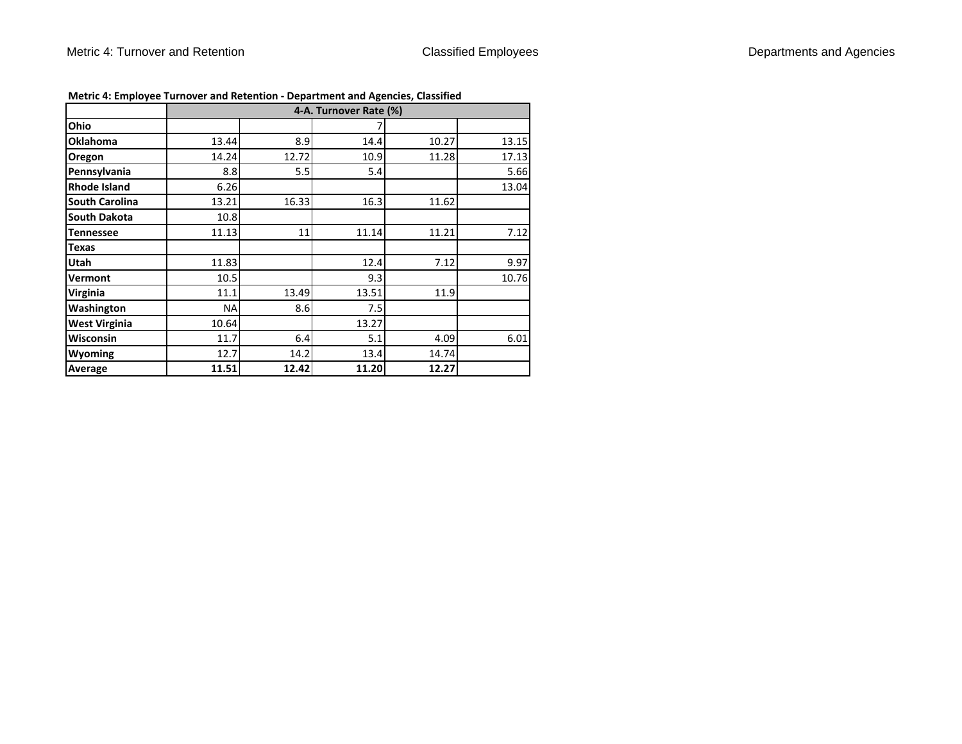|                       | 4-A. Turnover Rate (%) |         |       |       |       |  |
|-----------------------|------------------------|---------|-------|-------|-------|--|
| Ohio                  |                        |         |       |       |       |  |
|                       |                        |         |       |       |       |  |
| <b>Oklahoma</b>       | 13.44                  | 8.9     | 14.4  | 10.27 | 13.15 |  |
| Oregon                | 14.24                  | 12.72   | 10.9  | 11.28 | 17.13 |  |
| Pennsylvania          | 8.8                    | $5.5\,$ | 5.4   |       | 5.66  |  |
| <b>Rhode Island</b>   | 6.26                   |         |       |       | 13.04 |  |
| <b>South Carolina</b> | 13.21                  | 16.33   | 16.3  | 11.62 |       |  |
| <b>South Dakota</b>   | 10.8                   |         |       |       |       |  |
| <b>Tennessee</b>      | 11.13                  | 11      | 11.14 | 11.21 | 7.12  |  |
| <b>Texas</b>          |                        |         |       |       |       |  |
| Utah                  | 11.83                  |         | 12.4  | 7.12  | 9.97  |  |
| Vermont               | 10.5                   |         | 9.3   |       | 10.76 |  |
| Virginia              | 11.1                   | 13.49   | 13.51 | 11.9  |       |  |
| Washington            | <b>NA</b>              | 8.6     | 7.5   |       |       |  |
| <b>West Virginia</b>  | 10.64                  |         | 13.27 |       |       |  |
| <b>Wisconsin</b>      | 11.7                   | 6.4     | 5.1   | 4.09  | 6.01  |  |
| Wyoming               | 12.7                   | 14.2    | 13.4  | 14.74 |       |  |
| Average               | 11.51                  | 12.42   | 11.20 | 12.27 |       |  |

|  | Metric 4: Employee Turnover and Retention - Department and Agencies, Classified |  |  |
|--|---------------------------------------------------------------------------------|--|--|
|--|---------------------------------------------------------------------------------|--|--|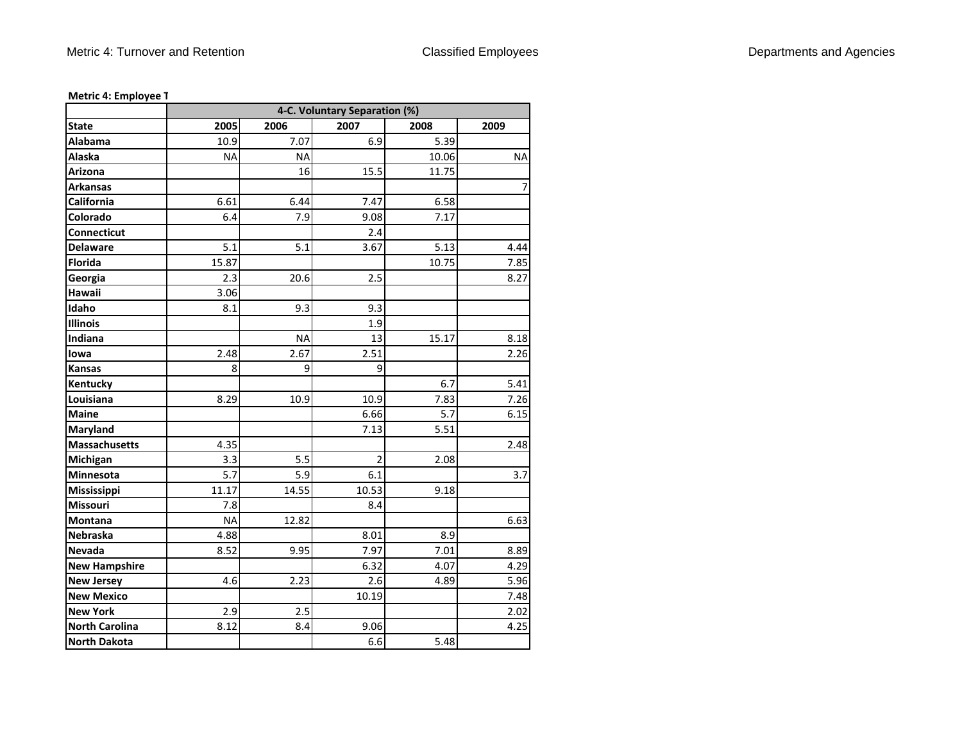|                       | 4-C. Voluntary Separation (%) |           |                |       |           |  |
|-----------------------|-------------------------------|-----------|----------------|-------|-----------|--|
| <b>State</b>          | 2005                          | 2006      | 2007           | 2008  | 2009      |  |
| Alabama               | 10.9                          | 7.07      | 6.9            | 5.39  |           |  |
| Alaska                | <b>NA</b>                     | <b>NA</b> |                | 10.06 | <b>NA</b> |  |
| Arizona               |                               | 16        | 15.5           | 11.75 |           |  |
| <b>Arkansas</b>       |                               |           |                |       | 7         |  |
| California            | 6.61                          | 6.44      | 7.47           | 6.58  |           |  |
| Colorado              | 6.4                           | 7.9       | 9.08           | 7.17  |           |  |
| Connecticut           |                               |           | 2.4            |       |           |  |
| <b>Delaware</b>       | 5.1                           | 5.1       | 3.67           | 5.13  | 4.44      |  |
| <b>Florida</b>        | 15.87                         |           |                | 10.75 | 7.85      |  |
| Georgia               | 2.3                           | 20.6      | 2.5            |       | 8.27      |  |
| Hawaii                | 3.06                          |           |                |       |           |  |
| Idaho                 | 8.1                           | 9.3       | 9.3            |       |           |  |
| <b>Illinois</b>       |                               |           | 1.9            |       |           |  |
| Indiana               |                               | <b>NA</b> | 13             | 15.17 | 8.18      |  |
| lowa                  | 2.48                          | 2.67      | 2.51           |       | 2.26      |  |
| <b>Kansas</b>         | 8                             | 9         | 9              |       |           |  |
| Kentucky              |                               |           |                | 6.7   | 5.41      |  |
| Louisiana             | 8.29                          | 10.9      | 10.9           | 7.83  | 7.26      |  |
| <b>Maine</b>          |                               |           | 6.66           | 5.7   | 6.15      |  |
| Maryland              |                               |           | 7.13           | 5.51  |           |  |
| Massachusetts         | 4.35                          |           |                |       | 2.48      |  |
| Michigan              | 3.3                           | 5.5       | $\overline{2}$ | 2.08  |           |  |
| Minnesota             | 5.7                           | 5.9       | 6.1            |       | 3.7       |  |
| Mississippi           | 11.17                         | 14.55     | 10.53          | 9.18  |           |  |
| <b>Missouri</b>       | 7.8                           |           | 8.4            |       |           |  |
| <b>Montana</b>        | <b>NA</b>                     | 12.82     |                |       | 6.63      |  |
| <b>Nebraska</b>       | 4.88                          |           | 8.01           | 8.9   |           |  |
| Nevada                | 8.52                          | 9.95      | 7.97           | 7.01  | 8.89      |  |
| <b>New Hampshire</b>  |                               |           | 6.32           | 4.07  | 4.29      |  |
| <b>New Jersey</b>     | 4.6                           | 2.23      | 2.6            | 4.89  | 5.96      |  |
| <b>New Mexico</b>     |                               |           | 10.19          |       | 7.48      |  |
| <b>New York</b>       | 2.9                           | 2.5       |                |       | 2.02      |  |
| <b>North Carolina</b> | 8.12                          | 8.4       | 9.06           |       | 4.25      |  |
| North Dakota          |                               |           | 6.6            | 5.48  |           |  |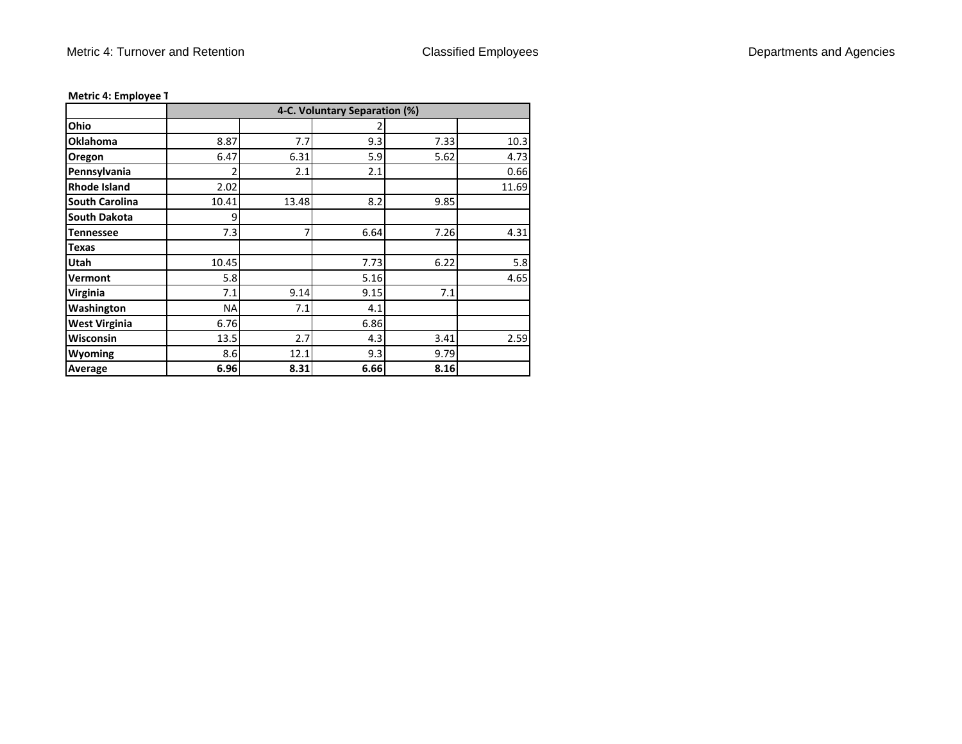|                       |           |       | 4-C. Voluntary Separation (%) |      |       |
|-----------------------|-----------|-------|-------------------------------|------|-------|
| Ohio                  |           |       |                               |      |       |
| <b>Oklahoma</b>       | 8.87      | 7.7   | 9.3                           | 7.33 | 10.3  |
| Oregon                | 6.47      | 6.31  | 5.9                           | 5.62 | 4.73  |
| Pennsylvania          | 2         | 2.1   | 2.1                           |      | 0.66  |
| <b>Rhode Island</b>   | 2.02      |       |                               |      | 11.69 |
| <b>South Carolina</b> | 10.41     | 13.48 | 8.2                           | 9.85 |       |
| <b>South Dakota</b>   | 9         |       |                               |      |       |
| <b>Tennessee</b>      | 7.3       | 7     | 6.64                          | 7.26 | 4.31  |
| <b>Texas</b>          |           |       |                               |      |       |
| Utah                  | 10.45     |       | 7.73                          | 6.22 | 5.8   |
| Vermont               | 5.8       |       | 5.16                          |      | 4.65  |
| Virginia              | 7.1       | 9.14  | 9.15                          | 7.1  |       |
| Washington            | <b>NA</b> | 7.1   | 4.1                           |      |       |
| <b>West Virginia</b>  | 6.76      |       | 6.86                          |      |       |
| <b>Wisconsin</b>      | 13.5      | 2.7   | 4.3                           | 3.41 | 2.59  |
| Wyoming               | 8.6       | 12.1  | 9.3                           | 9.79 |       |
| Average               | 6.96      | 8.31  | 6.66                          | 8.16 |       |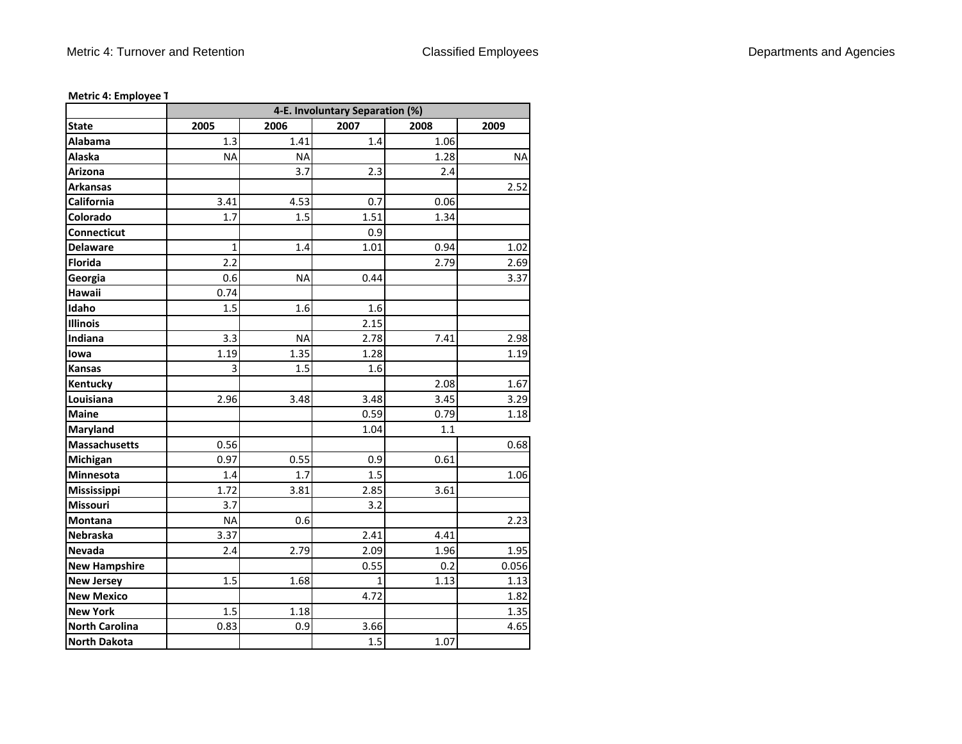|                       | 4-E. Involuntary Separation (%) |           |              |      |           |  |
|-----------------------|---------------------------------|-----------|--------------|------|-----------|--|
| <b>State</b>          | 2005                            | 2006      | 2007         | 2008 | 2009      |  |
| Alabama               | 1.3                             | 1.41      | 1.4          | 1.06 |           |  |
| Alaska                | <b>NA</b>                       | <b>NA</b> |              | 1.28 | <b>NA</b> |  |
| Arizona               |                                 | 3.7       | 2.3          | 2.4  |           |  |
| <b>Arkansas</b>       |                                 |           |              |      | 2.52      |  |
| California            | 3.41                            | 4.53      | 0.7          | 0.06 |           |  |
| Colorado              | 1.7                             | 1.5       | 1.51         | 1.34 |           |  |
| Connecticut           |                                 |           | 0.9          |      |           |  |
| <b>Delaware</b>       | 1                               | 1.4       | 1.01         | 0.94 | 1.02      |  |
| <b>Florida</b>        | 2.2                             |           |              | 2.79 | 2.69      |  |
| Georgia               | 0.6                             | <b>NA</b> | 0.44         |      | 3.37      |  |
| Hawaii                | 0.74                            |           |              |      |           |  |
| Idaho                 | 1.5                             | 1.6       | 1.6          |      |           |  |
| <b>Illinois</b>       |                                 |           | 2.15         |      |           |  |
| Indiana               | 3.3                             | <b>NA</b> | 2.78         | 7.41 | 2.98      |  |
| lowa                  | 1.19                            | 1.35      | 1.28         |      | 1.19      |  |
| <b>Kansas</b>         | 3                               | 1.5       | 1.6          |      |           |  |
| Kentucky              |                                 |           |              | 2.08 | 1.67      |  |
| Louisiana             | 2.96                            | 3.48      | 3.48         | 3.45 | 3.29      |  |
| <b>Maine</b>          |                                 |           | 0.59         | 0.79 | 1.18      |  |
| Maryland              |                                 |           | 1.04         | 1.1  |           |  |
| Massachusetts         | 0.56                            |           |              |      | 0.68      |  |
| Michigan              | 0.97                            | 0.55      | 0.9          | 0.61 |           |  |
| Minnesota             | 1.4                             | 1.7       | 1.5          |      | 1.06      |  |
| Mississippi           | 1.72                            | 3.81      | 2.85         | 3.61 |           |  |
| <b>Missouri</b>       | 3.7                             |           | 3.2          |      |           |  |
| <b>Montana</b>        | <b>NA</b>                       | 0.6       |              |      | 2.23      |  |
| <b>Nebraska</b>       | 3.37                            |           | 2.41         | 4.41 |           |  |
| Nevada                | 2.4                             | 2.79      | 2.09         | 1.96 | 1.95      |  |
| <b>New Hampshire</b>  |                                 |           | 0.55         | 0.2  | 0.056     |  |
| <b>New Jersey</b>     | 1.5                             | 1.68      | $\mathbf{1}$ | 1.13 | 1.13      |  |
| <b>New Mexico</b>     |                                 |           | 4.72         |      | 1.82      |  |
| <b>New York</b>       | 1.5                             | 1.18      |              |      | 1.35      |  |
| <b>North Carolina</b> | 0.83                            | 0.9       | 3.66         |      | 4.65      |  |
| North Dakota          |                                 |           | 1.5          | 1.07 |           |  |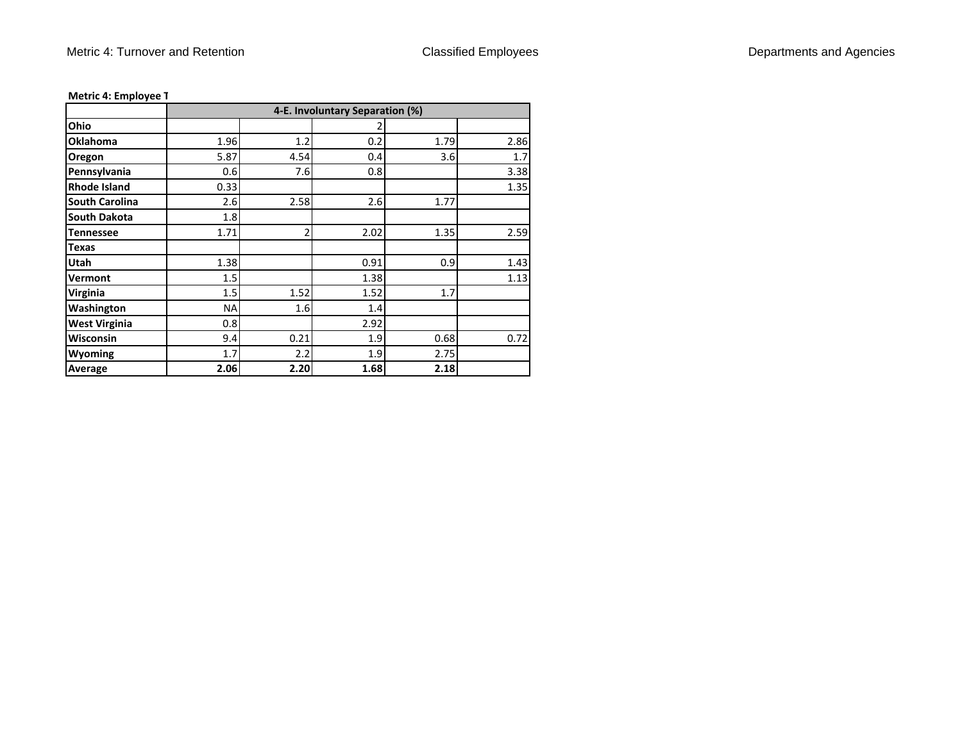|                       |           |      | 4-E. Involuntary Separation (%) |      |      |
|-----------------------|-----------|------|---------------------------------|------|------|
| Ohio                  |           |      | 2                               |      |      |
| <b>Oklahoma</b>       | 1.96      | 1.2  | 0.2                             | 1.79 | 2.86 |
| Oregon                | 5.87      | 4.54 | 0.4                             | 3.6  | 1.7  |
| Pennsylvania          | 0.6       | 7.6  | 0.8                             |      | 3.38 |
| <b>Rhode Island</b>   | 0.33      |      |                                 |      | 1.35 |
| <b>South Carolina</b> | 2.6       | 2.58 | 2.6                             | 1.77 |      |
| <b>South Dakota</b>   | 1.8       |      |                                 |      |      |
| <b>Tennessee</b>      | 1.71      | 2    | 2.02                            | 1.35 | 2.59 |
| <b>Texas</b>          |           |      |                                 |      |      |
| Utah                  | 1.38      |      | 0.91                            | 0.9  | 1.43 |
| Vermont               | 1.5       |      | 1.38                            |      | 1.13 |
| <b>Virginia</b>       | 1.5       | 1.52 | 1.52                            | 1.7  |      |
| Washington            | <b>NA</b> | 1.6  | 1.4                             |      |      |
| <b>West Virginia</b>  | 0.8       |      | 2.92                            |      |      |
| Wisconsin             | 9.4       | 0.21 | 1.9                             | 0.68 | 0.72 |
| Wyoming               | 1.7       | 2.2  | 1.9                             | 2.75 |      |
| Average               | 2.06      | 2.20 | 1.68                            | 2.18 |      |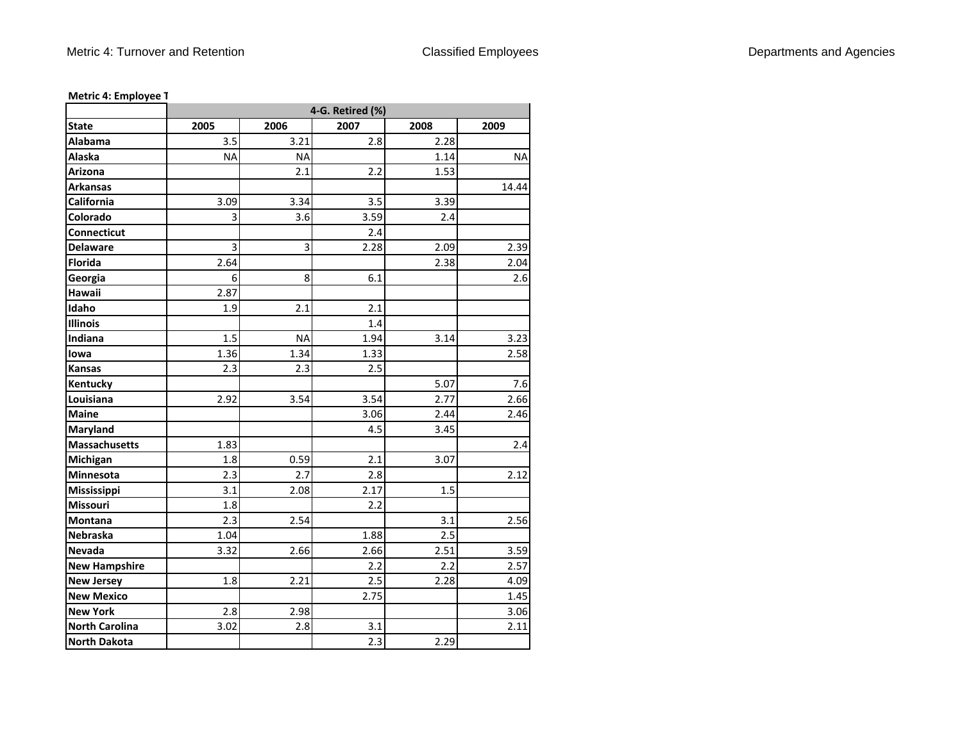|                       | 4-G. Retired (%) |           |      |      |           |
|-----------------------|------------------|-----------|------|------|-----------|
| <b>State</b>          | 2005             | 2006      | 2007 | 2008 | 2009      |
| Alabama               | 3.5              | 3.21      | 2.8  | 2.28 |           |
| Alaska                | <b>NA</b>        | <b>NA</b> |      | 1.14 | <b>NA</b> |
| <b>Arizona</b>        |                  | 2.1       | 2.2  | 1.53 |           |
| <b>Arkansas</b>       |                  |           |      |      | 14.44     |
| California            | 3.09             | 3.34      | 3.5  | 3.39 |           |
| Colorado              | 3                | 3.6       | 3.59 | 2.4  |           |
| Connecticut           |                  |           | 2.4  |      |           |
| <b>Delaware</b>       | 3                | 3         | 2.28 | 2.09 | 2.39      |
| <b>Florida</b>        | 2.64             |           |      | 2.38 | 2.04      |
| Georgia               | 6                | 8         | 6.1  |      | 2.6       |
| Hawaii                | 2.87             |           |      |      |           |
| Idaho                 | 1.9              | 2.1       | 2.1  |      |           |
| <b>Illinois</b>       |                  |           | 1.4  |      |           |
| Indiana               | 1.5              | <b>NA</b> | 1.94 | 3.14 | 3.23      |
| lowa                  | 1.36             | 1.34      | 1.33 |      | 2.58      |
| Kansas                | 2.3              | 2.3       | 2.5  |      |           |
| Kentucky              |                  |           |      | 5.07 | 7.6       |
| Louisiana             | 2.92             | 3.54      | 3.54 | 2.77 | 2.66      |
| <b>Maine</b>          |                  |           | 3.06 | 2.44 | 2.46      |
| Maryland              |                  |           | 4.5  | 3.45 |           |
| <b>Massachusetts</b>  | 1.83             |           |      |      | 2.4       |
| Michigan              | 1.8              | 0.59      | 2.1  | 3.07 |           |
| Minnesota             | 2.3              | 2.7       | 2.8  |      | 2.12      |
| Mississippi           | 3.1              | 2.08      | 2.17 | 1.5  |           |
| Missouri              | 1.8              |           | 2.2  |      |           |
| Montana               | 2.3              | 2.54      |      | 3.1  | 2.56      |
| Nebraska              | 1.04             |           | 1.88 | 2.5  |           |
| <b>Nevada</b>         | 3.32             | 2.66      | 2.66 | 2.51 | 3.59      |
| <b>New Hampshire</b>  |                  |           | 2.2  | 2.2  | 2.57      |
| <b>New Jersey</b>     | 1.8              | 2.21      | 2.5  | 2.28 | 4.09      |
| <b>New Mexico</b>     |                  |           | 2.75 |      | 1.45      |
| <b>New York</b>       | 2.8              | 2.98      |      |      | 3.06      |
| <b>North Carolina</b> | 3.02             | 2.8       | 3.1  |      | 2.11      |
| <b>North Dakota</b>   |                  |           | 2.3  | 2.29 |           |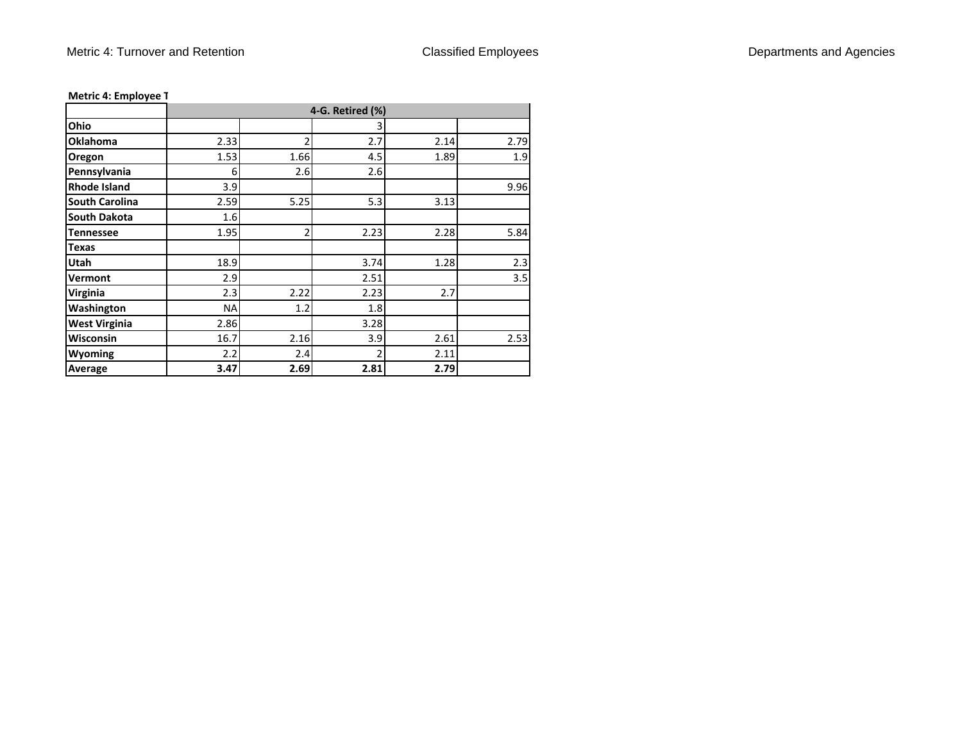|                       |           |                | 4-G. Retired (%) |      |      |
|-----------------------|-----------|----------------|------------------|------|------|
| Ohio                  |           |                | 3                |      |      |
| <b>Oklahoma</b>       | 2.33      | 2              | 2.7              | 2.14 | 2.79 |
| Oregon                | 1.53      | 1.66           | 4.5              | 1.89 | 1.9  |
| Pennsylvania          | 6         | 2.6            | 2.6              |      |      |
| <b>Rhode Island</b>   | 3.9       |                |                  |      | 9.96 |
| <b>South Carolina</b> | 2.59      | 5.25           | 5.3              | 3.13 |      |
| <b>South Dakota</b>   | 1.6       |                |                  |      |      |
| <b>Tennessee</b>      | 1.95      | $\overline{2}$ | 2.23             | 2.28 | 5.84 |
| <b>Texas</b>          |           |                |                  |      |      |
| Utah                  | 18.9      |                | 3.74             | 1.28 | 2.3  |
| Vermont               | 2.9       |                | 2.51             |      | 3.5  |
| Virginia              | 2.3       | 2.22           | 2.23             | 2.7  |      |
| Washington            | <b>NA</b> | 1.2            | 1.8              |      |      |
| <b>West Virginia</b>  | 2.86      |                | 3.28             |      |      |
| <b>Wisconsin</b>      | 16.7      | 2.16           | 3.9              | 2.61 | 2.53 |
| <b>Wyoming</b>        | 2.2       | 2.4            | $\overline{2}$   | 2.11 |      |
| Average               | 3.47      | 2.69           | 2.81             | 2.79 |      |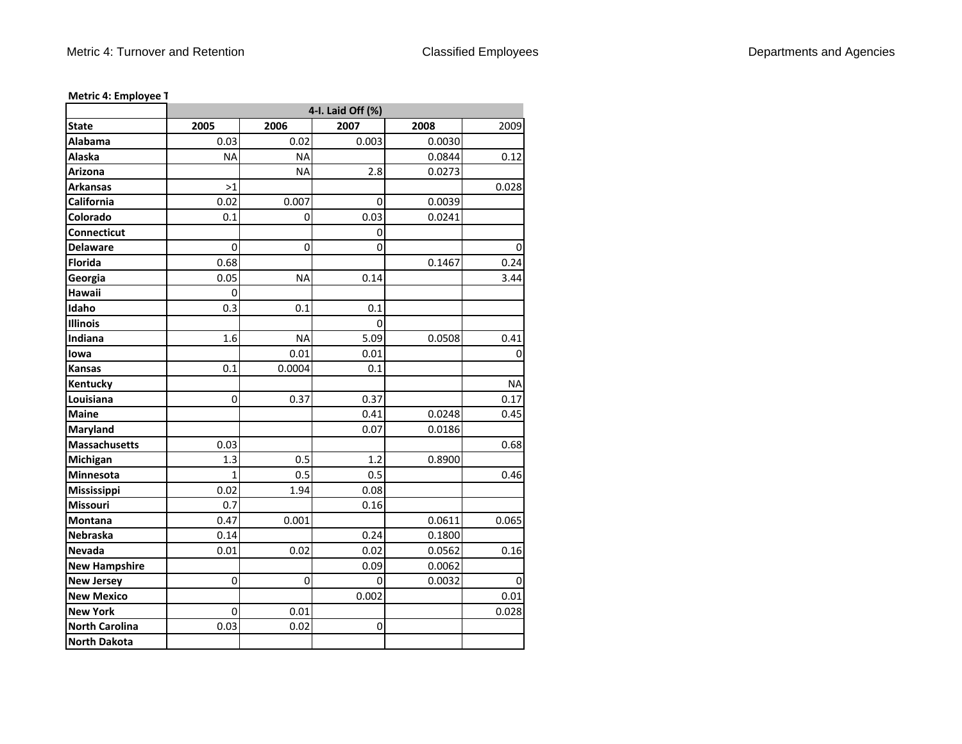|                       | 4-I. Laid Off (%) |           |             |        |           |
|-----------------------|-------------------|-----------|-------------|--------|-----------|
| <b>State</b>          | 2005              | 2006      | 2007        | 2008   | 2009      |
| Alabama               | 0.03              | 0.02      | 0.003       | 0.0030 |           |
| Alaska                | <b>NA</b>         | <b>NA</b> |             | 0.0844 | 0.12      |
| Arizona               |                   | <b>NA</b> | 2.8         | 0.0273 |           |
| Arkansas              | >1                |           |             |        | 0.028     |
| California            | 0.02              | 0.007     | 0           | 0.0039 |           |
| Colorado              | 0.1               | 0         | 0.03        | 0.0241 |           |
| Connecticut           |                   |           | 0           |        |           |
| <b>Delaware</b>       | $\pmb{0}$         | 0         | $\mathbf 0$ |        | 0         |
| <b>Florida</b>        | 0.68              |           |             | 0.1467 | 0.24      |
| Georgia               | 0.05              | ΝA        | 0.14        |        | 3.44      |
| Hawaii                | 0                 |           |             |        |           |
| Idaho                 | 0.3               | 0.1       | 0.1         |        |           |
| <b>Illinois</b>       |                   |           | 0           |        |           |
| Indiana               | 1.6               | <b>NA</b> | 5.09        | 0.0508 | 0.41      |
| lowa                  |                   | 0.01      | 0.01        |        | 0         |
| Kansas                | 0.1               | 0.0004    | 0.1         |        |           |
| Kentucky              |                   |           |             |        | <b>NA</b> |
| Louisiana             | 0                 | 0.37      | 0.37        |        | 0.17      |
| <b>Maine</b>          |                   |           | 0.41        | 0.0248 | 0.45      |
| Maryland              |                   |           | 0.07        | 0.0186 |           |
| <b>Massachusetts</b>  | 0.03              |           |             |        | 0.68      |
| Michigan              | 1.3               | 0.5       | 1.2         | 0.8900 |           |
| Minnesota             | $\mathbf{1}$      | 0.5       | 0.5         |        | 0.46      |
| Mississippi           | 0.02              | 1.94      | 0.08        |        |           |
| Missouri              | 0.7               |           | 0.16        |        |           |
| Montana               | 0.47              | 0.001     |             | 0.0611 | 0.065     |
| Nebraska              | 0.14              |           | 0.24        | 0.1800 |           |
| Nevada                | 0.01              | 0.02      | 0.02        | 0.0562 | 0.16      |
| <b>New Hampshire</b>  |                   |           | 0.09        | 0.0062 |           |
| <b>New Jersey</b>     | 0                 | 0         | 0           | 0.0032 | 0         |
| <b>New Mexico</b>     |                   |           | 0.002       |        | 0.01      |
| <b>New York</b>       | 0                 | 0.01      |             |        | 0.028     |
| <b>North Carolina</b> | 0.03              | 0.02      | $\mathbf 0$ |        |           |
| <b>North Dakota</b>   |                   |           |             |        |           |